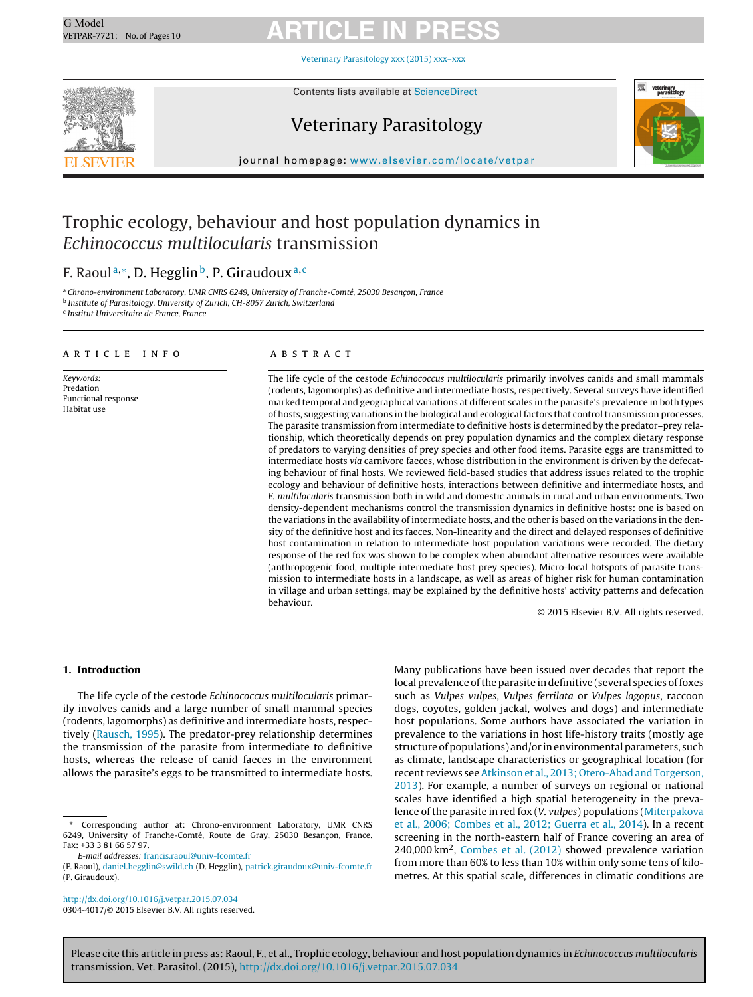Veterinary [Parasitology](dx.doi.org/10.1016/j.vetpar.2015.07.034) xxx (2015) xxx–xxx



Contents lists available at [ScienceDirect](http://www.sciencedirect.com/science/journal/03044017)

### Veterinary Parasitology



jour nal homepage: [www.elsevier.com/locate/vetpar](http://www.elsevier.com/locate/vetpar)

### Trophic ecology, behaviour and host population dynamics in Echinococcus multilocularis transmission

### F. Raoul<sup>a,\*</sup>, D. Hegglin<sup>b</sup>, P. Giraudoux<sup>a,c</sup>

a Chrono-environment Laboratory, UMR CNRS 6249, University of Franche-Comté, 25030 Besançon, France <sup>b</sup> Institute of Parasitology, University of Zurich, CH-8057 Zurich, Switzerland

<sup>c</sup> Institut Universitaire de France, France

#### a r t i c l e i n f o

Keywords: Predation Functional response Habitat use

#### A B S T R A C T

The life cycle of the cestode Echinococcus multilocularis primarily involves canids and small mammals (rodents, lagomorphs) as definitive and intermediate hosts, respectively. Several surveys have identified marked temporal and geographical variations at different scales in the parasite's prevalence in both types of hosts, suggesting variations in the biological and ecological factors that controltransmission processes. The parasite transmission from intermediate to definitive hosts is determined by the predator–prey relationship, which theoretically depends on prey population dynamics and the complex dietary response of predators to varying densities of prey species and other food items. Parasite eggs are transmitted to intermediate hosts via carnivore faeces, whose distribution in the environment is driven by the defecating behaviour of final hosts. We reviewed field-based studies that address issues related to the trophic ecology and behaviour of definitive hosts, interactions between definitive and intermediate hosts, and E. multilocularis transmission both in wild and domestic animals in rural and urban environments. Two density-dependent mechanisms control the transmission dynamics in definitive hosts: one is based on the variations in the availability of intermediate hosts, and the other is based on the variations in the density of the definitive host and its faeces. Non-linearity and the direct and delayed responses of definitive host contamination in relation to intermediate host population variations were recorded. The dietary response of the red fox was shown to be complex when abundant alternative resources were available (anthropogenic food, multiple intermediate host prey species). Micro-local hotspots of parasite transmission to intermediate hosts in a landscape, as well as areas of higher risk for human contamination in village and urban settings, may be explained by the definitive hosts' activity patterns and defecation behaviour.

© 2015 Elsevier B.V. All rights reserved.

#### **1. Introduction**

The life cycle of the cestode Echinococcus multilocularis primarily involves canids and a large number of small mammal species (rodents, lagomorphs) as definitive and intermediate hosts, respectively [\(Rausch,](#page-9-0) [1995\).](#page-9-0) The predator-prey relationship determines the transmission of the parasite from intermediate to definitive hosts, whereas the release of canid faeces in the environment allows the parasite's eggs to be transmitted to intermediate hosts.

E-mail addresses: [francis.raoul@univ-fcomte.fr](mailto:francis.raoul@univ-fcomte.fr)

[http://dx.doi.org/10.1016/j.vetpar.2015.07.034](dx.doi.org/10.1016/j.vetpar.2015.07.034) 0304-4017/© 2015 Elsevier B.V. All rights reserved. Many publications have been issued over decades that report the local prevalence of the parasite in definitive (several species of foxes such as Vulpes vulpes, Vulpes ferrilata or Vulpes lagopus, raccoon dogs, coyotes, golden jackal, wolves and dogs) and intermediate host populations. Some authors have associated the variation in prevalence to the variations in host life-history traits (mostly age structure of populations) and/or in environmental parameters, such as climate, landscape characteristics or geographical location (for recent reviews see [Atkinson](#page-8-0) et [al.,](#page-8-0) [2013;](#page-8-0) [Otero-Abad](#page-8-0) [and](#page-8-0) [Torgerson,](#page-8-0) [2013\).](#page-8-0) For example, a number of surveys on regional or national scales have identified a high spatial heterogeneity in the preva-lence of the parasite in red fox (V. vulpes) populations [\(Miterpakova](#page-9-0) et [al.,](#page-9-0) [2006;](#page-9-0) [Combes](#page-9-0) et [al.,](#page-9-0) [2012;](#page-9-0) [Guerra](#page-9-0) et [al.,](#page-9-0) [2014\).](#page-9-0) In a recent screening in the north-eastern half of France covering an area of  $240,000 \text{ km}^2$ , [Combes](#page-8-0) et [al.](#page-8-0) [\(2012\)](#page-8-0) showed prevalence variation from more than 60% to less than 10% within only some tens of kilometres. At this spatial scale, differences in climatic conditions are

Corresponding author at: Chrono-environment Laboratory, UMR CNRS 6249, University of Franche-Comté, Route de Gray, 25030 Besançon, France. Fax: +33 3 81 66 57 97.

<sup>(</sup>F. Raoul), [daniel.hegglin@swild.ch](mailto:daniel.hegglin@swild.ch) (D. Hegglin), [patrick.giraudoux@univ-fcomte.fr](mailto:patrick.giraudoux@univ-fcomte.fr) (P. Giraudoux).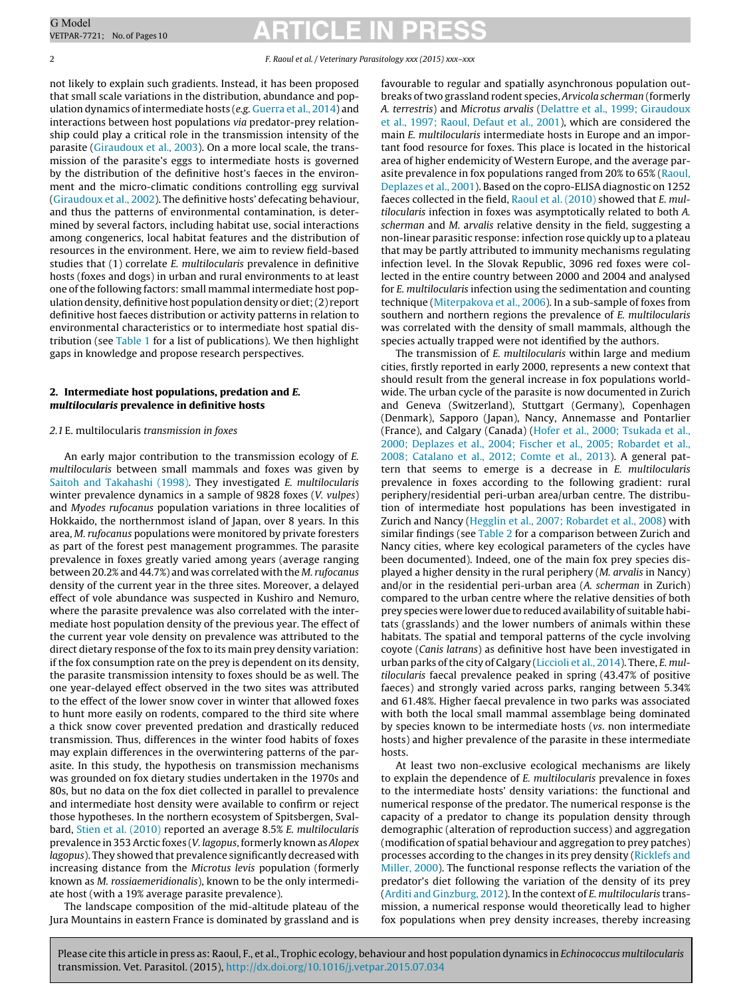2 F. Raoul et al. / Veterinary Parasitology xxx (2015) xxx–xxx

not likely to explain such gradients. Instead, it has been proposed that small scale variations in the distribution, abundance and population dynamics of intermediate hosts (e.g. [Guerra](#page-8-0) et [al.,](#page-8-0) [2014\)](#page-8-0) and interactions between host populations via predator-prey relationship could play a critical role in the transmission intensity of the parasite ([Giraudoux](#page-8-0) et [al.,](#page-8-0) [2003\).](#page-8-0) On a more local scale, the transmission of the parasite's eggs to intermediate hosts is governed by the distribution of the definitive host's faeces in the environment and the micro-climatic conditions controlling egg survival ([Giraudoux](#page-8-0) et [al.,](#page-8-0) [2002\).](#page-8-0) The definitive hosts' defecating behaviour, and thus the patterns of environmental contamination, is determined by several factors, including habitat use, social interactions among congenerics, local habitat features and the distribution of resources in the environment. Here, we aim to review field-based studies that (1) correlate E. multilocularis prevalence in definitive hosts (foxes and dogs) in urban and rural environments to at least one ofthe following factors: small mammal intermediate host population density, definitive host population density or diet; (2) report definitive host faeces distribution or activity patterns in relation to environmental characteristics or to intermediate host spatial distribution (see [Table](#page-2-0) 1 for a list of publications). We then highlight gaps in knowledge and propose research perspectives.

#### **2. Intermediate host populations, predation and E. multilocularis prevalence in definitive hosts**

#### 2.1 E. multilocularis transmission in foxes

An early major contribution to the transmission ecology of E. multilocularis between small mammals and foxes was given by [Saitoh](#page-9-0) [and](#page-9-0) [Takahashi](#page-9-0) [\(1998\).](#page-9-0) They investigated E. multilocularis winter prevalence dynamics in a sample of 9828 foxes (V. vulpes) and Myodes rufocanus population variations in three localities of Hokkaido, the northernmost island of Japan, over 8 years. In this area, M. rufocanus populations were monitored by private foresters as part of the forest pest management programmes. The parasite prevalence in foxes greatly varied among years (average ranging between 20.2% and 44.7%) and was correlated with the M. rufocanus density of the current year in the three sites. Moreover, a delayed effect of vole abundance was suspected in Kushiro and Nemuro, where the parasite prevalence was also correlated with the intermediate host population density of the previous year. The effect of the current year vole density on prevalence was attributed to the direct dietary response ofthe fox to its main prey density variation: if the fox consumption rate on the prey is dependent on its density, the parasite transmission intensity to foxes should be as well. The one year-delayed effect observed in the two sites was attributed to the effect of the lower snow cover in winter that allowed foxes to hunt more easily on rodents, compared to the third site where a thick snow cover prevented predation and drastically reduced transmission. Thus, differences in the winter food habits of foxes may explain differences in the overwintering patterns of the parasite. In this study, the hypothesis on transmission mechanisms was grounded on fox dietary studies undertaken in the 1970s and 80s, but no data on the fox diet collected in parallel to prevalence and intermediate host density were available to confirm or reject those hypotheses. In the northern ecosystem of Spitsbergen, Svalbard, [Stien](#page-9-0) et [al.](#page-9-0) [\(2010\)](#page-9-0) reported an average 8.5% E. multilocularis prevalence in 353 Arctic foxes (V. lagopus, formerly known as Alopex lagopus). They showed that prevalence significantly decreased with increasing distance from the Microtus levis population (formerly known as M. rossiaemeridionalis), known to be the only intermediate host (with a 19% average parasite prevalence).

The landscape composition of the mid-altitude plateau of the Jura Mountains in eastern France is dominated by grassland and is favourable to regular and spatially asynchronous population outbreaks oftwo grassland rodent species, Arvicola scherman (formerly A. terrestris) and Microtus arvalis [\(Delattre](#page-8-0) et [al.,](#page-8-0) [1999;](#page-8-0) [Giraudoux](#page-8-0) et [al.,](#page-8-0) [1997;](#page-8-0) [Raoul,](#page-8-0) [Defaut](#page-8-0) et [al.,](#page-8-0) [2001\),](#page-8-0) which are considered the main E. multilocularis intermediate hosts in Europe and an important food resource for foxes. This place is located in the historical area of higher endemicity of Western Europe, and the average parasite prevalence in fox populations ranged from 20% to 65% [\(Raoul,](#page-9-0) [Deplazes](#page-9-0) et [al.,](#page-9-0) [2001\).](#page-9-0) Based on the copro-ELISA diagnostic on 1252 faeces collected in the field, [Raoul](#page-9-0) et [al.](#page-9-0) [\(2010\)](#page-9-0) showed that E. multilocularis infection in foxes was asymptotically related to both A. scherman and M. arvalis relative density in the field, suggesting a non-linear parasitic response: infection rose quickly up to a plateau that may be partly attributed to immunity mechanisms regulating infection level. In the Slovak Republic, 3096 red foxes were collected in the entire country between 2000 and 2004 and analysed for E. multilocularis infection using the sedimentation and counting technique [\(Miterpakova](#page-9-0) et [al.,](#page-9-0) [2006\).](#page-9-0) In a sub-sample of foxes from southern and northern regions the prevalence of E. multilocularis was correlated with the density of small mammals, although the species actually trapped were not identified by the authors.

The transmission of E. multilocularis within large and medium cities, firstly reported in early 2000, represents a new context that should result from the general increase in fox populations worldwide. The urban cycle of the parasite is now documented in Zurich and Geneva (Switzerland), Stuttgart (Germany), Copenhagen (Denmark), Sapporo (Japan), Nancy, Annemasse and Pontarlier (France), and Calgary (Canada) [\(Hofer](#page-8-0) et [al.,](#page-8-0) [2000;](#page-8-0) [Tsukada](#page-8-0) et [al.,](#page-8-0) [2000;](#page-8-0) [Deplazes](#page-8-0) et [al.,](#page-8-0) [2004;](#page-8-0) [Fischer](#page-8-0) et [al.,](#page-8-0) [2005;](#page-8-0) [Robardet](#page-8-0) et [al.,](#page-8-0) [2008;](#page-8-0) [Catalano](#page-8-0) et [al.,](#page-8-0) [2012;](#page-8-0) [Comte](#page-8-0) et [al.,](#page-8-0) [2013\).](#page-8-0) A general pattern that seems to emerge is a decrease in E. multilocularis prevalence in foxes according to the following gradient: rural periphery/residential peri-urban area/urban centre. The distribution of intermediate host populations has been investigated in Zurich and Nancy ([Hegglin](#page-8-0) et [al.,](#page-8-0) [2007;](#page-8-0) [Robardet](#page-8-0) et [al.,](#page-8-0) [2008\)](#page-8-0) with similar findings (see [Table](#page-4-0) 2 for a comparison between Zurich and Nancy cities, where key ecological parameters of the cycles have been documented). Indeed, one of the main fox prey species displayed a higher density in the rural periphery (M. arvalis in Nancy) and/or in the residential peri-urban area (A. scherman in Zurich) compared to the urban centre where the relative densities of both prey species were lower due to reduced availability of suitable habitats (grasslands) and the lower numbers of animals within these habitats. The spatial and temporal patterns of the cycle involving coyote (Canis latrans) as definitive host have been investigated in urban parks ofthe city of Calgary ([Liccioli](#page-9-0) et [al.,](#page-9-0) [2014\).](#page-9-0) There, E. multilocularis faecal prevalence peaked in spring (43.47% of positive faeces) and strongly varied across parks, ranging between 5.34% and 61.48%. Higher faecal prevalence in two parks was associated with both the local small mammal assemblage being dominated by species known to be intermediate hosts (vs. non intermediate hosts) and higher prevalence of the parasite in these intermediate hosts.

At least two non-exclusive ecological mechanisms are likely to explain the dependence of E. multilocularis prevalence in foxes to the intermediate hosts' density variations: the functional and numerical response of the predator. The numerical response is the capacity of a predator to change its population density through demographic (alteration of reproduction success) and aggregation (modification of spatial behaviour and aggregation to prey patches) processes according to the changes in its prey density [\(Ricklefs](#page-9-0) [and](#page-9-0) [Miller,](#page-9-0) [2000\).](#page-9-0) The functional response reflects the variation of the predator's diet following the variation of the density of its prey [\(Arditi](#page-8-0) [and](#page-8-0) [Ginzburg,](#page-8-0) [2012\).](#page-8-0) In the context of E. multilocularis transmission, a numerical response would theoretically lead to higher fox populations when prey density increases, thereby increasing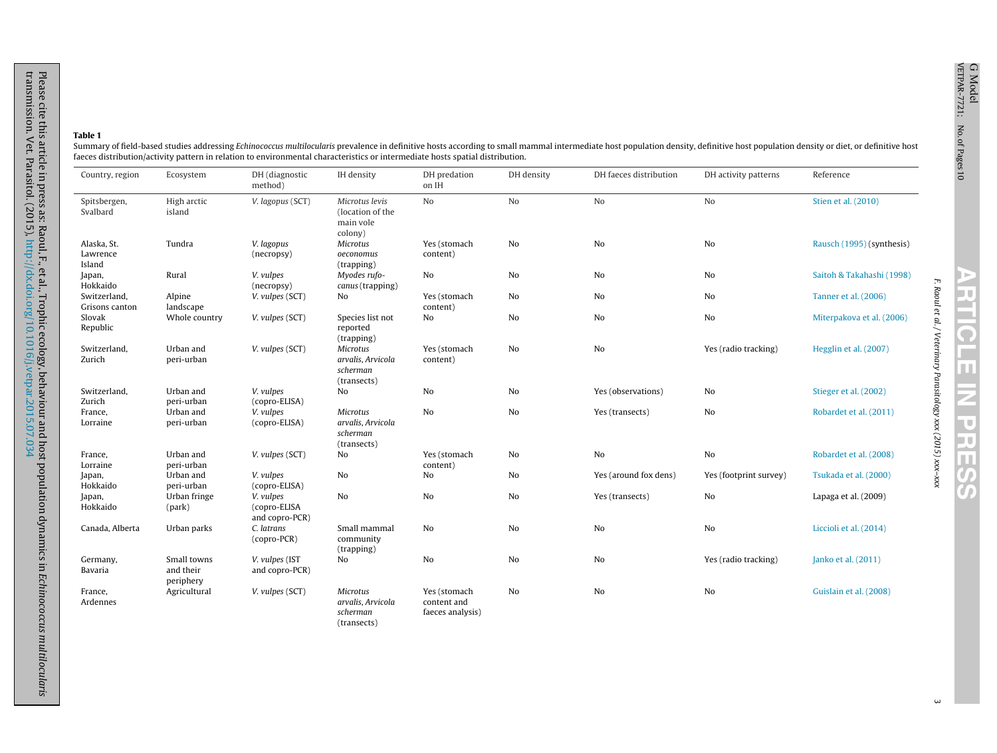#### <span id="page-2-0"></span>**Table 1**

Summary of field-based studies addressing *Echinococcus multilocularis* prevalence in definitive hosts according to small mammal intermediate host population density, definitive host population density or diet, or definiti faeces distribution/activity pattern in relation to environmental characteristics or intermediate hosts spatial distribution.

| Country, region                   | Ecosystem                             | DH (diagnostic<br>method)                   | IH density                                                      | DH predation<br>on IH                           | DH density | DH faeces distribution | DH activity patterns   | Reference                 |
|-----------------------------------|---------------------------------------|---------------------------------------------|-----------------------------------------------------------------|-------------------------------------------------|------------|------------------------|------------------------|---------------------------|
| Spitsbergen,<br>Svalbard          | High arctic<br>island                 | V. lagopus (SCT)                            | Microtus levis<br>(location of the<br>main vole<br>colony)      | N <sub>o</sub>                                  | No         | <b>No</b>              | N <sub>o</sub>         | Stien et al. (2010)       |
| Alaska, St.<br>Lawrence<br>Island | Tundra                                | V. lagopus<br>(necropsy)                    | Microtus<br>oeconomus<br>(trapping)                             | Yes (stomach<br>content)                        | No         | No                     | No                     | Rausch (1995) (synthesis) |
| Japan,<br>Hokkaido                | Rural                                 | V. vulpes<br>(necropsy)                     | Myodes rufo-<br>canus (trapping)                                | No                                              | No         | No                     | No                     | Saitoh & Takahashi (1998) |
| Switzerland,<br>Grisons canton    | Alpine<br>landscape                   | V. vulpes (SCT)                             | No                                                              | Yes (stomach<br>content)                        | No         | No                     | No                     | Tanner et al. (2006)      |
| Slovak<br>Republic                | Whole country                         | V. vulpes (SCT)                             | Species list not<br>reported<br>(trapping)                      | No                                              | No         | N <sub>o</sub>         | N <sub>o</sub>         | Miterpakova et al. (2006) |
| Switzerland,<br>Zurich            | Urban and<br>peri-urban               | V. vulpes (SCT)                             | Microtus<br>arvalis, Arvicola<br>scherman<br>(transects)        | Yes (stomach<br>content)                        | No         | $\rm No$               | Yes (radio tracking)   | Hegglin et al. (2007)     |
| Switzerland,<br>Zurich            | Urban and<br>peri-urban               | V. vulpes<br>(copro-ELISA)                  | No                                                              | No                                              | No         | Yes (observations)     | No                     | Stieger et al. (2002)     |
| France,<br>Lorraine               | Urban and<br>peri-urban               | V. vulpes<br>(copro-ELISA)                  | <b>Microtus</b><br>arvalis, Arvicola<br>scherman<br>(transects) | N <sub>o</sub>                                  | No         | Yes (transects)        | No                     | Robardet et al. (2011)    |
| France,<br>Lorraine               | Urban and<br>peri-urban               | V. vulpes (SCT)                             | No                                                              | Yes (stomach<br>content)                        | No         | No                     | No                     | Robardet et al. (2008)    |
| Japan,<br>Hokkaido                | Urban and<br>peri-urban               | V. vulpes<br>(copro-ELISA)                  | $\rm No$                                                        | No                                              | $\rm No$   | Yes (around fox dens)  | Yes (footprint survey) | Tsukada et al. (2000)     |
| Japan,<br>Hokkaido                | Urban fringe<br>(park)                | V. vulpes<br>(copro-ELISA<br>and copro-PCR) | No                                                              | No                                              | No         | Yes (transects)        | No                     | Lapaga et al. (2009)      |
| Canada, Alberta                   | Urban parks                           | C. latrans<br>(copro-PCR)                   | Small mammal<br>community<br>(trapping)                         | No                                              | No         | $\rm No$               | $\rm No$               | Liccioli et al. (2014)    |
| Germany,<br>Bavaria               | Small towns<br>and their<br>periphery | V. vulpes (IST<br>and copro-PCR)            | No                                                              | N <sub>o</sub>                                  | <b>No</b>  | N <sub>o</sub>         | Yes (radio tracking)   | Janko et al. (2011)       |
| France,<br>Ardennes               | Agricultural                          | V. vulpes (SCT)                             | Microtus<br>arvalis, Arvicola<br>scherman                       | Yes (stomach<br>content and<br>faeces analysis) | No         | No                     | No                     | Guislain et al. (2008)    |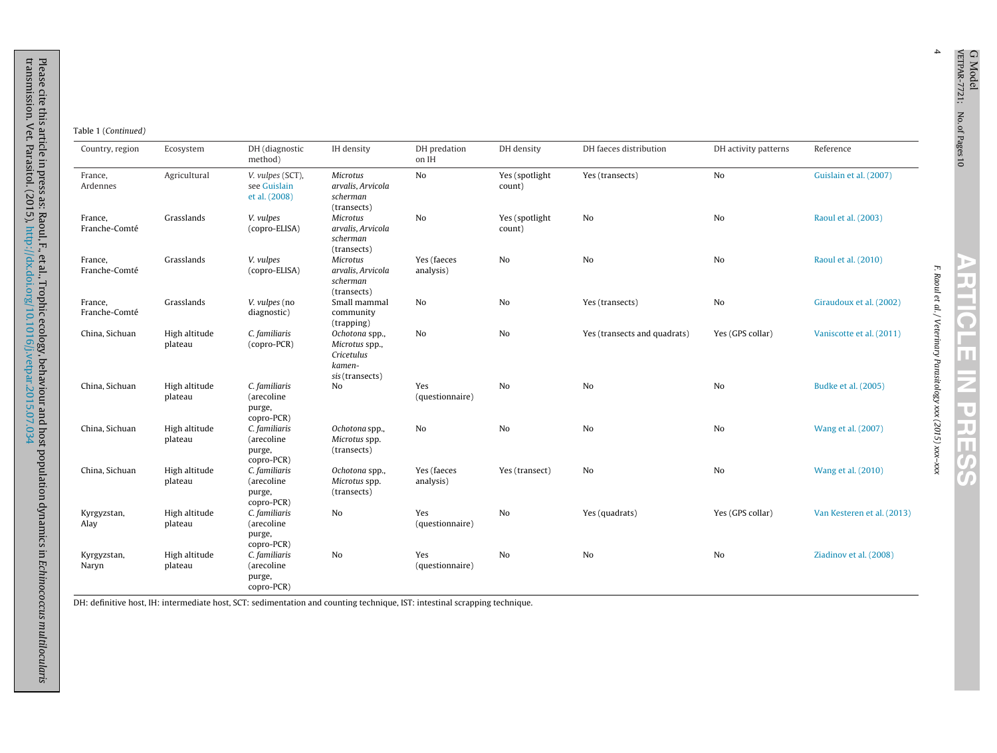| Country, region          | Ecosystem                | DH (diagnostic<br>method)                           | IH density                                                                  | DH predation<br>on IH    | DH density               | DH faeces distribution       | DH activity patterns | Reference                  |
|--------------------------|--------------------------|-----------------------------------------------------|-----------------------------------------------------------------------------|--------------------------|--------------------------|------------------------------|----------------------|----------------------------|
| France,<br>Ardennes      | Agricultural             | V. vulpes (SCT),<br>see Guislain<br>et al. (2008)   | Microtus<br>arvalis, Arvicola<br>scherman<br>(transects)                    | No                       | Yes (spotlight<br>count) | Yes (transects)              | No                   | Guislain et al. (2007)     |
| France,<br>Franche-Comté | Grasslands               | V. vulpes<br>(copro-ELISA)                          | Microtus<br>arvalis, Arvicola<br>scherman<br>(transects)                    | $\rm No$                 | Yes (spotlight<br>count) | No                           | No                   | Raoul et al. (2003)        |
| France,<br>Franche-Comté | Grasslands               | V. vulpes<br>(copro-ELISA)                          | Microtus<br>arvalis, Arvicola<br>scherman<br>(transects)                    | Yes (faeces<br>analysis) | $\rm No$                 | $\rm No$                     | No                   | Raoul et al. (2010)        |
| France,<br>Franche-Comté | Grasslands               | V. vulpes (no<br>diagnostic)                        | Small mammal<br>community<br>(trapping)                                     | No                       | No                       | Yes (transects)              | No                   | Giraudoux et al. (2002)    |
| China, Sichuan           | High altitude<br>plateau | C. familiaris<br>(copro-PCR)                        | Ochotona spp.,<br>Microtus spp.,<br>Cricetulus<br>kamen-<br>sis (transects) | No                       | No                       | Yes (transects and quadrats) | Yes (GPS collar)     | Vaniscotte et al. (2011)   |
| China, Sichuan           | High altitude<br>plateau | C. familiaris<br>(arecoline<br>purge,<br>copro-PCR) | No                                                                          | Yes<br>(questionnaire)   | No                       | $\rm No$                     | No                   | Budke et al. (2005)        |
| China, Sichuan           | High altitude<br>plateau | C. familiaris<br>(arecoline<br>purge,<br>copro-PCR) | Ochotona spp.,<br>Microtus spp.<br>(transects)                              | No                       | No                       | $\rm No$                     | No                   | Wang et al. (2007)         |
| China, Sichuan           | High altitude<br>plateau | C. familiaris<br>(arecoline<br>purge,<br>copro-PCR) | Ochotona spp.,<br>Microtus spp.<br>(transects)                              | Yes (faeces<br>analysis) | Yes (transect)           | No                           | No                   | Wang et al. (2010)         |
| Kyrgyzstan,<br>Alay      | High altitude<br>plateau | C. familiaris<br>(arecoline<br>purge,<br>copro-PCR) | No                                                                          | Yes<br>(questionnaire)   | No                       | Yes (quadrats)               | Yes (GPS collar)     | Van Kesteren et al. (2013) |
| Kyrgyzstan,<br>Naryn     | High altitude<br>plateau | C. familiaris<br>(arecoline<br>purge,<br>copro-PCR) | No                                                                          | Yes<br>(questionnaire)   | No                       | $\rm No$                     | No                   | Ziadinov et al. (2008)     |

DH: definitive host, IH: intermediate host, SCT: sedimentation and counting technique, IST: intestinal scrapping technique.

4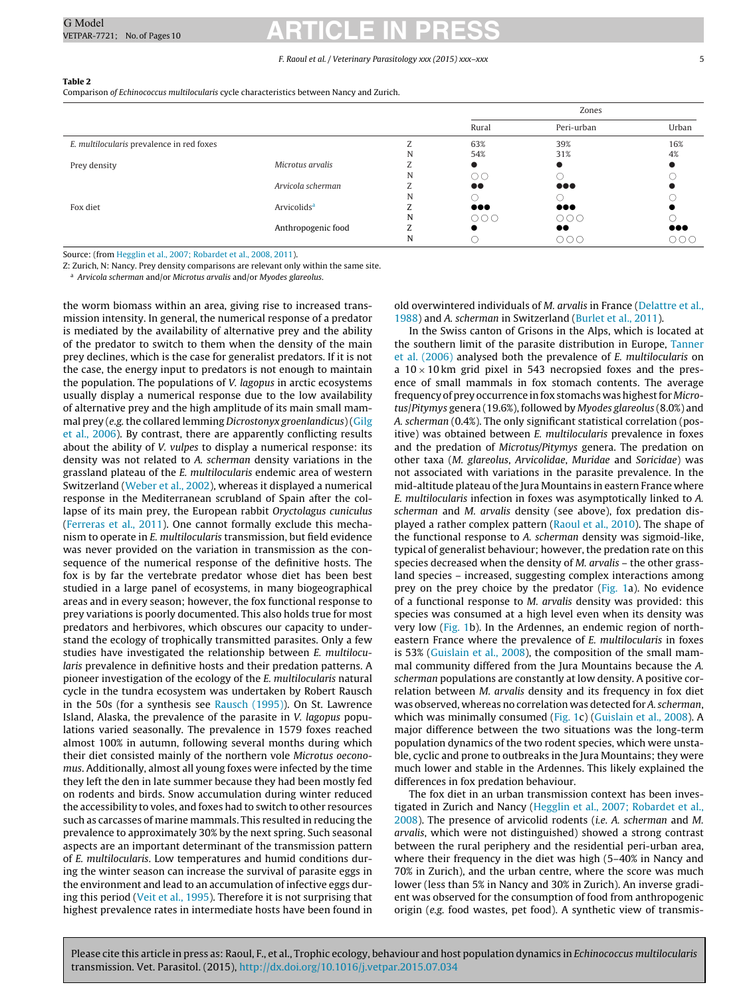#### F. Raoul et al. / Veterinary Parasitology xxx (2015) xxx–xxx 5

<span id="page-4-0"></span>

Comparison of Echinococcus multilocularis cycle characteristics between Nancy and Zurich.

|                                           |                               |        | Zones                                          |                                |                                |
|-------------------------------------------|-------------------------------|--------|------------------------------------------------|--------------------------------|--------------------------------|
|                                           |                               |        | Rural                                          | Peri-urban                     | Urban                          |
| E. multilocularis prevalence in red foxes |                               | N      | 63%<br>54%                                     | 39%<br>31%                     | 16%<br>4%                      |
| Prey density                              | Microtus arvalis              | N      | nn                                             |                                |                                |
|                                           | Arvicola scherman             | -<br>N | $\bullet\bullet$                               | $\bullet\bullet\bullet$        |                                |
| Fox diet                                  | <b>Arvicolids<sup>a</sup></b> | N      | $\bullet\bullet\bullet$<br>$\circ \circ \circ$ | $\bullet\bullet\bullet$<br>OOC |                                |
|                                           | Anthropogenic food            | 7<br>N |                                                | $\bullet\bullet$<br>O          | $\bullet\bullet\bullet$<br>DOC |

Source: (from [Hegglin](#page-8-0) et [al.,](#page-8-0) [2007;](#page-8-0) [Robardet](#page-8-0) et [al.,](#page-8-0) [2008,](#page-8-0) [2011\).](#page-8-0)

Z: Zurich, N: Nancy. Prey density comparisons are relevant only within the same site.

<sup>a</sup> Arvicola scherman and/or Microtus arvalis and/or Myodes glareolus.

the worm biomass within an area, giving rise to increased transmission intensity. In general, the numerical response of a predator is mediated by the availability of alternative prey and the ability of the predator to switch to them when the density of the main prey declines, which is the case for generalist predators. If it is not the case, the energy input to predators is not enough to maintain the population. The populations of V. lagopus in arctic ecosystems usually display a numerical response due to the low availability of alternative prey and the high amplitude of its main small mam-mal prey (e.g. the collared lemming Dicrostonyx groenlandicus) ([Gilg](#page-8-0) et [al.,](#page-8-0) [2006\).](#page-8-0) By contrast, there are apparently conflicting results about the ability of V. vulpes to display a numerical response: its density was not related to A. scherman density variations in the grassland plateau of the E. multilocularis endemic area of western Switzerland [\(Weber](#page-9-0) et [al.,](#page-9-0) [2002\),](#page-9-0) whereas it displayed a numerical response in the Mediterranean scrubland of Spain after the collapse of its main prey, the European rabbit Oryctolagus cuniculus ([Ferreras](#page-8-0) et [al.,](#page-8-0) [2011\).](#page-8-0) One cannot formally exclude this mechanism to operate in E. multilocularis transmission, but field evidence was never provided on the variation in transmission as the consequence of the numerical response of the definitive hosts. The fox is by far the vertebrate predator whose diet has been best studied in a large panel of ecosystems, in many biogeographical areas and in every season; however, the fox functional response to prey variations is poorly documented. This also holds true for most predators and herbivores, which obscures our capacity to understand the ecology of trophically transmitted parasites. Only a few studies have investigated the relationship between E. multilocularis prevalence in definitive hosts and their predation patterns. A pioneer investigation of the ecology of the E. multilocularis natural cycle in the tundra ecosystem was undertaken by Robert Rausch in the 50s (for a synthesis see [Rausch](#page-9-0) [\(1995\)\).](#page-9-0) On St. Lawrence Island, Alaska, the prevalence of the parasite in V. lagopus populations varied seasonally. The prevalence in 1579 foxes reached almost 100% in autumn, following several months during which their diet consisted mainly of the northern vole Microtus oeconomus. Additionally, almost all young foxes were infected by the time they left the den in late summer because they had been mostly fed on rodents and birds. Snow accumulation during winter reduced the accessibility to voles, and foxes had to switch to other resources such as carcasses of marine mammals. This resulted in reducing the prevalence to approximately 30% by the next spring. Such seasonal aspects are an important determinant of the transmission pattern of E. multilocularis. Low temperatures and humid conditions during the winter season can increase the survival of parasite eggs in the environment and lead to an accumulation of infective eggs during this period ([Veit](#page-9-0) et [al.,](#page-9-0) [1995\).](#page-9-0) Therefore it is not surprising that highest prevalence rates in intermediate hosts have been found in

old overwintered individuals of M. arvalis in France ([Delattre](#page-8-0) et [al.,](#page-8-0) [1988\)](#page-8-0) and A. scherman in Switzerland ([Burlet](#page-8-0) et [al.,](#page-8-0) [2011\).](#page-8-0)

In the Swiss canton of Grisons in the Alps, which is located at the southern limit of the parasite distribution in Europe, [Tanner](#page-9-0) et [al.](#page-9-0) [\(2006\)](#page-9-0) analysed both the prevalence of E. multilocularis on a  $10 \times 10$  km grid pixel in 543 necropsied foxes and the presence of small mammals in fox stomach contents. The average frequency of prey occurrence in fox stomachs was highest for Microtus/Pitymys genera (19.6%), followed by Myodes glareolus (8.0%) and A. scherman (0.4%). The only significant statistical correlation (positive) was obtained between E. multilocularis prevalence in foxes and the predation of Microtus/Pitymys genera. The predation on other taxa (M. glareolus, Arvicolidae, Muridae and Soricidae) was not associated with variations in the parasite prevalence. In the mid-altitude plateau of the Jura Mountains in eastern France where E. multilocularis infection in foxes was asymptotically linked to A. scherman and M. arvalis density (see above), fox predation displayed a rather complex pattern ([Raoul](#page-9-0) et [al.,](#page-9-0) [2010\).](#page-9-0) The shape of the functional response to A. scherman density was sigmoid-like, typical of generalist behaviour; however, the predation rate on this species decreased when the density of M. arvalis – the other grassland species – increased, suggesting complex interactions among prey on the prey choice by the predator ([Fig.](#page-5-0) 1a). No evidence of a functional response to M. arvalis density was provided: this species was consumed at a high level even when its density was very low [\(Fig.](#page-5-0) 1b). In the Ardennes, an endemic region of northeastern France where the prevalence of E. multilocularis in foxes is 53% ([Guislain](#page-8-0) et [al.,](#page-8-0) [2008\),](#page-8-0) the composition of the small mammal community differed from the Jura Mountains because the A. scherman populations are constantly at low density. A positive correlation between M. arvalis density and its frequency in fox diet was observed, whereas no correlation was detected for A. scherman, which was minimally consumed [\(Fig.](#page-5-0) 1c) [\(Guislain](#page-8-0) et [al.,](#page-8-0) [2008\).](#page-8-0) A major difference between the two situations was the long-term population dynamics of the two rodent species, which were unstable, cyclic and prone to outbreaks in the Jura Mountains; they were much lower and stable in the Ardennes. This likely explained the differences in fox predation behaviour.

The fox diet in an urban transmission context has been investigated in Zurich and Nancy [\(Hegglin](#page-8-0) et [al.,](#page-8-0) [2007;](#page-8-0) [Robardet](#page-8-0) et [al.,](#page-8-0) [2008\).](#page-8-0) The presence of arvicolid rodents (i.e. A. scherman and M. arvalis, which were not distinguished) showed a strong contrast between the rural periphery and the residential peri-urban area, where their frequency in the diet was high (5–40% in Nancy and 70% in Zurich), and the urban centre, where the score was much lower (less than 5% in Nancy and 30% in Zurich). An inverse gradient was observed for the consumption of food from anthropogenic origin (e.g. food wastes, pet food). A synthetic view of transmis-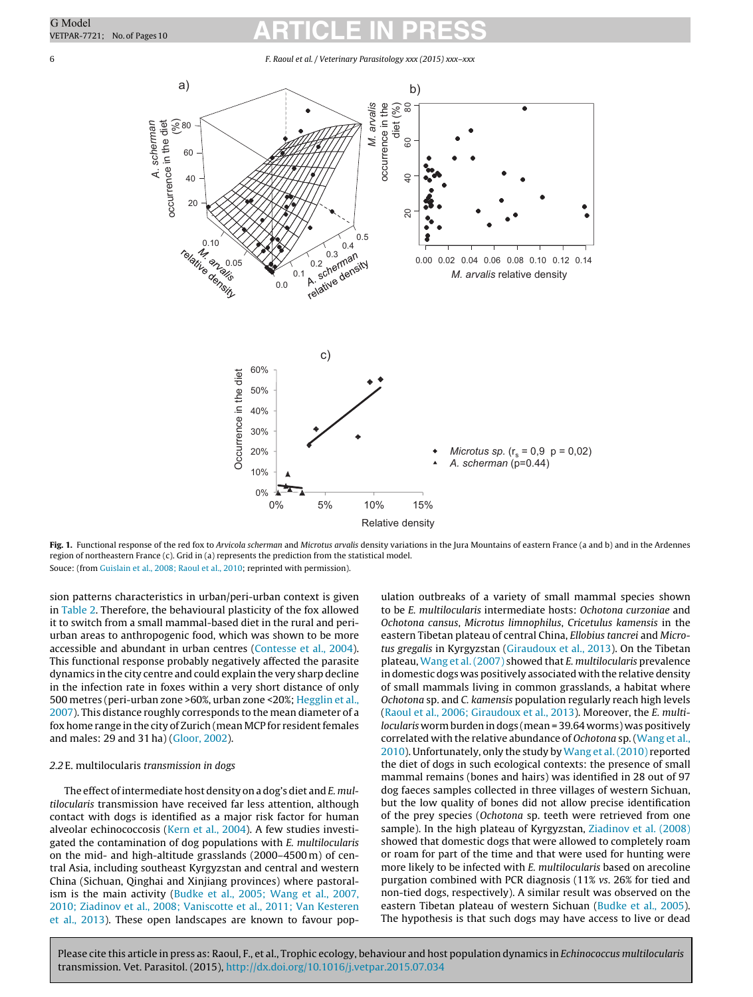<span id="page-5-0"></span>6 F. Raoul et al. / Veterinary Parasitology xxx (2015) xxx–xxx



Fig. 1. Functional response of the red fox to Arvicola scherman and Microtus arvalis density variations in the Jura Mountains of eastern France (a and b) and in the Ardennes region of northeastern France (c). Grid in (a) represents the prediction from the statistical model. Souce: (from [Guislain](#page-8-0) et [al.,](#page-8-0) [2008;](#page-8-0) [Raoul](#page-8-0) et [al.,](#page-8-0) [2010;](#page-8-0) reprinted with permission).

sion patterns characteristics in urban/peri-urban context is given in [Table](#page-4-0) 2. Therefore, the behavioural plasticity of the fox allowed it to switch from a small mammal-based diet in the rural and periurban areas to anthropogenic food, which was shown to be more accessible and abundant in urban centres ([Contesse](#page-8-0) et [al.,](#page-8-0) [2004\).](#page-8-0) This functional response probably negatively affected the parasite dynamics in the city centre and could explain the very sharp decline in the infection rate in foxes within a very short distance of only 500 metres (peri-urban zone >60%, urban zone <20%; [Hegglin](#page-8-0) et [al.,](#page-8-0) [2007\).](#page-8-0) This distance roughly corresponds to the mean diameter of a fox home range in the city of Zurich (mean MCP for resident females and males: 29 and 31 ha) [\(Gloor,](#page-8-0) [2002\).](#page-8-0)

#### 2.2 E. multilocularis transmission in dogs

The effect of intermediate host density on a dog's diet and E. multilocularis transmission have received far less attention, although contact with dogs is identified as a major risk factor for human alveolar echinococcosis ([Kern](#page-8-0) et [al.,](#page-8-0) [2004\).](#page-8-0) A few studies investigated the contamination of dog populations with E. multilocularis on the mid- and high-altitude grasslands (2000–4500 m) of central Asia, including southeast Kyrgyzstan and central and western China (Sichuan, Qinghai and Xinjiang provinces) where pastoralism is the main activity [\(Budke](#page-8-0) et [al.,](#page-8-0) [2005;](#page-8-0) [Wang](#page-8-0) et [al.,](#page-8-0) [2007,](#page-8-0) [2010;](#page-8-0) [Ziadinov](#page-8-0) et [al.,](#page-8-0) [2008;](#page-8-0) [Vaniscotte](#page-8-0) et [al.,](#page-8-0) [2011;](#page-8-0) [Van](#page-8-0) [Kesteren](#page-8-0) et [al.,](#page-8-0) [2013\).](#page-8-0) These open landscapes are known to favour pop-

ulation outbreaks of a variety of small mammal species shown to be E. multilocularis intermediate hosts: Ochotona curzoniae and Ochotona cansus, Microtus limnophilus, Cricetulus kamensis in the eastern Tibetan plateau of central China, Ellobius tancrei and Microtus gregalis in Kyrgyzstan ([Giraudoux](#page-8-0) et [al.,](#page-8-0) [2013\).](#page-8-0) On the Tibetan plateau, [Wang](#page-9-0) et [al.\(2007\)](#page-9-0) showed that E. multilocularis prevalence in domestic dogs was positively associated with the relative density of small mammals living in common grasslands, a habitat where Ochotona sp. and C. kamensis population regularly reach high levels [\(Raoul](#page-9-0) et [al.,](#page-9-0) [2006;](#page-9-0) [Giraudoux](#page-9-0) et [al.,](#page-9-0) [2013\).](#page-9-0) Moreover, the E. multilocularis wormburden in dogs (mean = 39.64 worms) was positively correlated with the relative abundance of Ochotona sp. [\(Wang](#page-9-0) et [al.,](#page-9-0) [2010\).](#page-9-0) Unfortunately, only the study by [Wang](#page-9-0) et [al.\(2010\)](#page-9-0) reported the diet of dogs in such ecological contexts: the presence of small mammal remains (bones and hairs) was identified in 28 out of 97 dog faeces samples collected in three villages of western Sichuan, but the low quality of bones did not allow precise identification of the prey species (Ochotona sp. teeth were retrieved from one sample). In the high plateau of Kyrgyzstan, [Ziadinov](#page-9-0) et [al.](#page-9-0) [\(2008\)](#page-9-0) showed that domestic dogs that were allowed to completely roam or roam for part of the time and that were used for hunting were more likely to be infected with E. multilocularis based on arecoline purgation combined with PCR diagnosis (11% vs. 26% for tied and non-tied dogs, respectively). A similar result was observed on the eastern Tibetan plateau of western Sichuan [\(Budke](#page-8-0) et [al.,](#page-8-0) [2005\).](#page-8-0) The hypothesis is that such dogs may have access to live or dead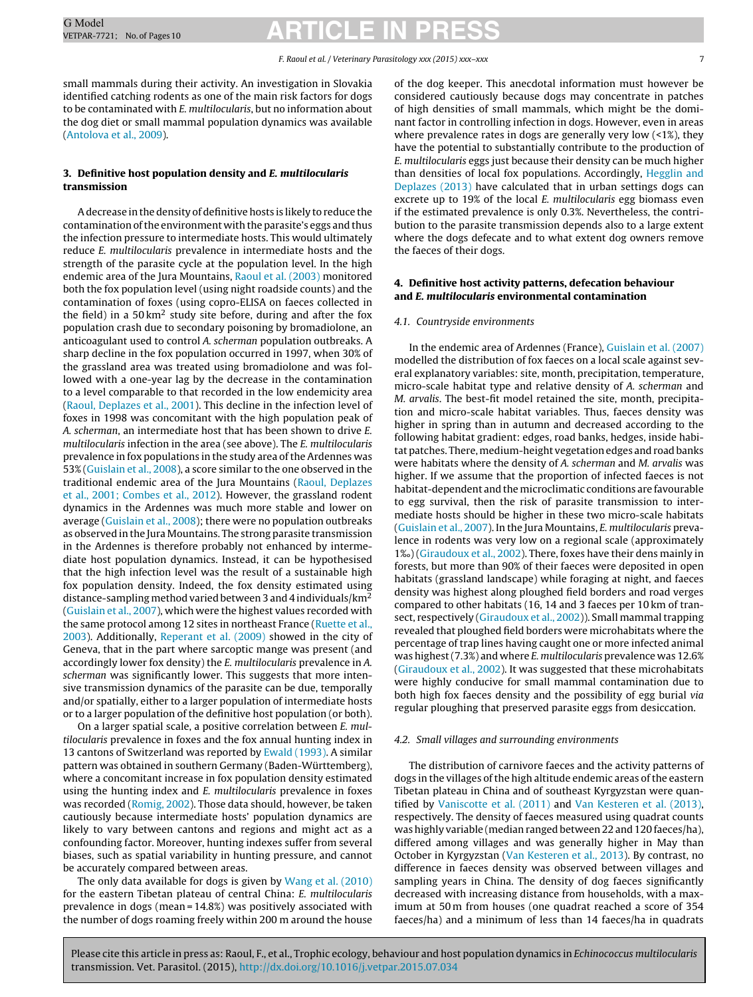small mammals during their activity. An investigation in Slovakia identified catching rodents as one of the main risk factors for dogs to be contaminated with E. multilocularis, but no information about the dog diet or small mammal population dynamics was available ([Antolova](#page-8-0) et [al.,](#page-8-0) [2009\).](#page-8-0)

#### **3. Definitive host population density and E. multilocularis transmission**

Adecrease in the density of definitive hosts is likely to reduce the contamination ofthe environment with the parasite's eggs and thus the infection pressure to intermediate hosts. This would ultimately reduce E. multilocularis prevalence in intermediate hosts and the strength of the parasite cycle at the population level. In the high endemic area of the Jura Mountains, [Raoul](#page-9-0) et [al.](#page-9-0) [\(2003\)](#page-9-0) monitored both the fox population level (using night roadside counts) and the contamination of foxes (using copro-ELISA on faeces collected in the field) in a 50 km<sup>2</sup> study site before, during and after the fox population crash due to secondary poisoning by bromadiolone, an anticoagulant used to control A. scherman population outbreaks. A sharp decline in the fox population occurred in 1997, when 30% of the grassland area was treated using bromadiolone and was followed with a one-year lag by the decrease in the contamination to a level comparable to that recorded in the low endemicity area ([Raoul,](#page-9-0) [Deplazes](#page-9-0) et [al.,](#page-9-0) [2001\).](#page-9-0) This decline in the infection level of foxes in 1998 was concomitant with the high population peak of A. scherman, an intermediate host that has been shown to drive E. multilocularis infection in the area (see above). The E. multilocularis prevalence in fox populations in the study area ofthe Ardennes was 53% [\(Guislain](#page-8-0) et [al.,](#page-8-0) [2008\),](#page-8-0) a score similar to the one observed in the traditional endemic area of the Jura Mountains [\(Raoul,](#page-9-0) [Deplazes](#page-9-0) et [al.,](#page-9-0) [2001;](#page-9-0) [Combes](#page-9-0) et [al.,](#page-9-0) [2012\).](#page-9-0) However, the grassland rodent dynamics in the Ardennes was much more stable and lower on average [\(Guislain](#page-8-0) et [al.,](#page-8-0) [2008\);](#page-8-0) there were no population outbreaks as observed in the Jura Mountains. The strong parasite transmission in the Ardennes is therefore probably not enhanced by intermediate host population dynamics. Instead, it can be hypothesised that the high infection level was the result of a sustainable high fox population density. Indeed, the fox density estimated using distance-sampling method varied between 3 and 4 individuals/ $km<sup>2</sup>$ ([Guislain](#page-8-0) et [al.,](#page-8-0) [2007\),](#page-8-0) which were the highest values recorded with the same protocol among 12 sites in northeast France ([Ruette](#page-9-0) et [al.,](#page-9-0) [2003\).](#page-9-0) Additionally, [Reperant](#page-9-0) et [al.](#page-9-0) [\(2009\)](#page-9-0) showed in the city of Geneva, that in the part where sarcoptic mange was present (and accordingly lower fox density) the E. multilocularis prevalence in A. scherman was significantly lower. This suggests that more intensive transmission dynamics of the parasite can be due, temporally and/or spatially, either to a larger population of intermediate hosts or to a larger population of the definitive host population (or both).

On a larger spatial scale, a positive correlation between E. multilocularis prevalence in foxes and the fox annual hunting index in 13 cantons of Switzerland was reported by [Ewald](#page-8-0) [\(1993\).](#page-8-0) A similar pattern was obtained in southern Germany (Baden-Württemberg), where a concomitant increase in fox population density estimated using the hunting index and E. multilocularis prevalence in foxes was recorded ([Romig,](#page-9-0) [2002\).](#page-9-0) Those data should, however, be taken cautiously because intermediate hosts' population dynamics are likely to vary between cantons and regions and might act as a confounding factor. Moreover, hunting indexes suffer from several biases, such as spatial variability in hunting pressure, and cannot be accurately compared between areas.

The only data available for dogs is given by [Wang](#page-9-0) et [al.](#page-9-0) [\(2010\)](#page-9-0) for the eastern Tibetan plateau of central China: E. multilocularis prevalence in dogs (mean = 14.8%) was positively associated with the number of dogs roaming freely within 200 m around the house of the dog keeper. This anecdotal information must however be considered cautiously because dogs may concentrate in patches of high densities of small mammals, which might be the dominant factor in controlling infection in dogs. However, even in areas where prevalence rates in dogs are generally very low (<1%), they have the potential to substantially contribute to the production of E. multilocularis eggs just because their density can be much higher than densities of local fox populations. Accordingly, [Hegglin](#page-8-0) [and](#page-8-0) [Deplazes](#page-8-0) [\(2013\)](#page-8-0) have calculated that in urban settings dogs can excrete up to 19% of the local E. multilocularis egg biomass even if the estimated prevalence is only 0.3%. Nevertheless, the contribution to the parasite transmission depends also to a large extent where the dogs defecate and to what extent dog owners remove the faeces of their dogs.

#### **4. Definitive host activity patterns, defecation behaviour and E. multilocularis environmental contamination**

#### 4.1. Countryside environments

In the endemic area of Ardennes (France), [Guislain](#page-8-0) et [al.](#page-8-0) [\(2007\)](#page-8-0) modelled the distribution of fox faeces on a local scale against several explanatory variables: site, month, precipitation, temperature, micro-scale habitat type and relative density of A. scherman and M. arvalis. The best-fit model retained the site, month, precipitation and micro-scale habitat variables. Thus, faeces density was higher in spring than in autumn and decreased according to the following habitat gradient: edges, road banks, hedges, inside habitat patches. There, medium-height vegetation edges and road banks were habitats where the density of A. scherman and M. arvalis was higher. If we assume that the proportion of infected faeces is not habitat-dependent and the microclimatic conditions are favourable to egg survival, then the risk of parasite transmission to intermediate hosts should be higher in these two micro-scale habitats [\(Guislain](#page-8-0) et [al.,](#page-8-0) [2007\).](#page-8-0) In the Jura Mountains, E. multilocularis prevalence in rodents was very low on a regional scale (approximately 1‰) ([Giraudoux](#page-8-0) et [al.,](#page-8-0) [2002\).](#page-8-0) There, foxes have their dens mainly in forests, but more than 90% of their faeces were deposited in open habitats (grassland landscape) while foraging at night, and faeces density was highest along ploughed field borders and road verges compared to other habitats (16, 14 and 3 faeces per 10 km of tran-sect, respectively [\(Giraudoux](#page-8-0) et [al.,](#page-8-0) [2002\)\)](#page-8-0). Small mammal trapping revealed that ploughed field borders were microhabitats where the percentage of trap lines having caught one or more infected animal was highest(7.3%) and where E. multilocularis prevalence was 12.6% [\(Giraudoux](#page-8-0) et [al.,](#page-8-0) [2002\).](#page-8-0) It was suggested that these microhabitats were highly conducive for small mammal contamination due to both high fox faeces density and the possibility of egg burial via regular ploughing that preserved parasite eggs from desiccation.

#### 4.2. Small villages and surrounding environments

The distribution of carnivore faeces and the activity patterns of dogs in the villages of the high altitude endemic areas of the eastern Tibetan plateau in China and of southeast Kyrgyzstan were quantified by [Vaniscotte](#page-9-0) et [al.](#page-9-0) [\(2011\)](#page-9-0) and [Van](#page-9-0) [Kesteren](#page-9-0) et [al.](#page-9-0) [\(2013\),](#page-9-0) respectively. The density of faeces measured using quadrat counts was highly variable (median ranged between 22 and 120 faeces/ha), differed among villages and was generally higher in May than October in Kyrgyzstan [\(Van](#page-9-0) [Kesteren](#page-9-0) et [al.,](#page-9-0) [2013\).](#page-9-0) By contrast, no difference in faeces density was observed between villages and sampling years in China. The density of dog faeces significantly decreased with increasing distance from households, with a maximum at 50 m from houses (one quadrat reached a score of 354 faeces/ha) and a minimum of less than 14 faeces/ha in quadrats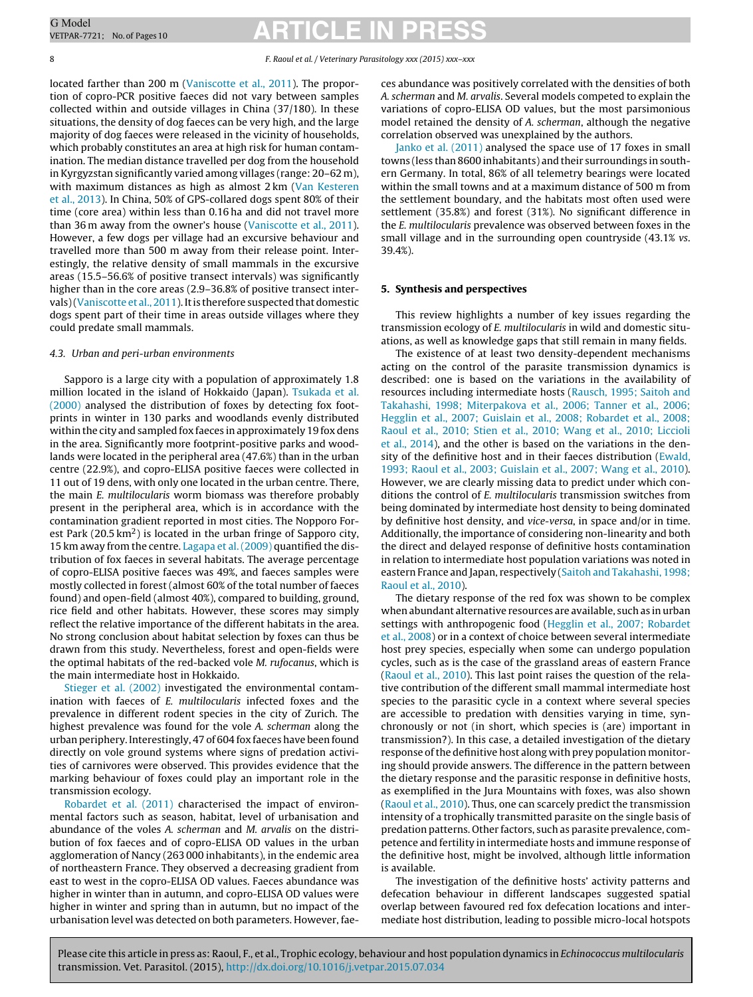located farther than 200 m [\(Vaniscotte](#page-9-0) et [al.,](#page-9-0) [2011\).](#page-9-0) The proportion of copro-PCR positive faeces did not vary between samples collected within and outside villages in China (37/180). In these situations, the density of dog faeces can be very high, and the large majority of dog faeces were released in the vicinity of households, which probably constitutes an area at high risk for human contamination. The median distance travelled per dog from the household in Kyrgyzstan significantly varied among villages (range: 20–62 m), with maximum distances as high as almost 2 km ([Van](#page-9-0) [Kesteren](#page-9-0) et [al.,](#page-9-0) [2013\).](#page-9-0) In China, 50% of GPS-collared dogs spent 80% of their time (core area) within less than 0.16 ha and did not travel more than 36 m away from the owner's house [\(Vaniscotte](#page-9-0) et [al.,](#page-9-0) [2011\).](#page-9-0) However, a few dogs per village had an excursive behaviour and travelled more than 500 m away from their release point. Interestingly, the relative density of small mammals in the excursive areas (15.5–56.6% of positive transect intervals) was significantly higher than in the core areas (2.9–36.8% of positive transect inter-vals) [\(Vaniscotte](#page-9-0) et [al.,](#page-9-0) [2011\).](#page-9-0) It is therefore suspected that domestic dogs spent part of their time in areas outside villages where they could predate small mammals.

#### 4.3. Urban and peri-urban environments

Sapporo is a large city with a population of approximately 1.8 million located in the island of Hokkaido (Japan). [Tsukada](#page-9-0) et [al.](#page-9-0) [\(2000\)](#page-9-0) analysed the distribution of foxes by detecting fox footprints in winter in 130 parks and woodlands evenly distributed within the city and sampled fox faeces in approximately 19 fox dens in the area. Significantly more footprint-positive parks and woodlands were located in the peripheral area (47.6%) than in the urban centre (22.9%), and copro-ELISA positive faeces were collected in 11 out of 19 dens, with only one located in the urban centre. There, the main E. multilocularis worm biomass was therefore probably present in the peripheral area, which is in accordance with the contamination gradient reported in most cities. The Nopporo Forest Park (20.5 km<sup>2</sup>) is located in the urban fringe of Sapporo city, 15 km away from the centre. [Lagapa](#page-8-0) et [al.\(2009\)](#page-8-0) quantified the distribution of fox faeces in several habitats. The average percentage of copro-ELISA positive faeces was 49%, and faeces samples were mostly collected in forest (almost 60% of the total number of faeces found) and open-field (almost 40%), compared to building, ground, rice field and other habitats. However, these scores may simply reflect the relative importance of the different habitats in the area. No strong conclusion about habitat selection by foxes can thus be drawn from this study. Nevertheless, forest and open-fields were the optimal habitats of the red-backed vole M. rufocanus, which is the main intermediate host in Hokkaido.

[Stieger](#page-9-0) et [al.](#page-9-0) [\(2002\)](#page-9-0) investigated the environmental contamination with faeces of E. multilocularis infected foxes and the prevalence in different rodent species in the city of Zurich. The highest prevalence was found for the vole A. scherman along the urban periphery. Interestingly, 47 of 604 fox faeces have been found directly on vole ground systems where signs of predation activities of carnivores were observed. This provides evidence that the marking behaviour of foxes could play an important role in the transmission ecology.

[Robardet](#page-9-0) et [al.](#page-9-0) [\(2011\)](#page-9-0) characterised the impact of environmental factors such as season, habitat, level of urbanisation and abundance of the voles A. scherman and M. arvalis on the distribution of fox faeces and of copro-ELISA OD values in the urban agglomeration of Nancy (263 000 inhabitants), in the endemic area of northeastern France. They observed a decreasing gradient from east to west in the copro-ELISA OD values. Faeces abundance was higher in winter than in autumn, and copro-ELISA OD values were higher in winter and spring than in autumn, but no impact of the urbanisation level was detected on both parameters. However, faeces abundance was positively correlated with the densities of both A. scherman and M. arvalis. Several models competed to explain the variations of copro-ELISA OD values, but the most parsimonious model retained the density of A. scherman, although the negative correlation observed was unexplained by the authors.

[Janko](#page-8-0) et [al.](#page-8-0) [\(2011\)](#page-8-0) analysed the space use of 17 foxes in small towns (less than 8600 inhabitants) and their surroundings in southern Germany. In total, 86% of all telemetry bearings were located within the small towns and at a maximum distance of 500 m from the settlement boundary, and the habitats most often used were settlement (35.8%) and forest (31%). No significant difference in the E. multilocularis prevalence was observed between foxes in the small village and in the surrounding open countryside (43.1% vs. 39.4%).

#### **5. Synthesis and perspectives**

This review highlights a number of key issues regarding the transmission ecology of E. multilocularis in wild and domestic situations, as well as knowledge gaps that still remain in many fields.

The existence of at least two density-dependent mechanisms acting on the control of the parasite transmission dynamics is described: one is based on the variations in the availability of resources including intermediate hosts [\(Rausch,](#page-9-0) [1995;](#page-9-0) [Saitoh](#page-9-0) [and](#page-9-0) [Takahashi,](#page-9-0) [1998;](#page-9-0) [Miterpakova](#page-9-0) et [al.,](#page-9-0) [2006;](#page-9-0) [Tanner](#page-9-0) et [al.,](#page-9-0) [2006;](#page-9-0) [Hegglin](#page-9-0) et [al.,](#page-9-0) [2007;](#page-9-0) [Guislain](#page-9-0) et [al.,](#page-9-0) [2008;](#page-9-0) [Robardet](#page-9-0) et [al.,](#page-9-0) [2008;](#page-9-0) [Raoul](#page-9-0) et [al.,](#page-9-0) [2010;](#page-9-0) [Stien](#page-9-0) et [al.,](#page-9-0) [2010;](#page-9-0) [Wang](#page-9-0) et [al.,](#page-9-0) [2010;](#page-9-0) [Liccioli](#page-9-0) et [al.,](#page-9-0) [2014\),](#page-9-0) and the other is based on the variations in the den-sity of the definitive host and in their faeces distribution ([Ewald,](#page-8-0) [1993;](#page-8-0) [Raoul](#page-8-0) et [al.,](#page-8-0) [2003;](#page-8-0) [Guislain](#page-8-0) et [al.,](#page-8-0) [2007;](#page-8-0) [Wang](#page-8-0) et [al.,](#page-8-0) [2010\).](#page-8-0) However, we are clearly missing data to predict under which conditions the control of E. multilocularis transmission switches from being dominated by intermediate host density to being dominated by definitive host density, and vice-versa, in space and/or in time. Additionally, the importance of considering non-linearity and both the direct and delayed response of definitive hosts contamination in relation to intermediate host population variations was noted in eastern France and Japan, respectively [\(Saitoh](#page-9-0) [and](#page-9-0) [Takahashi,](#page-9-0) [1998;](#page-9-0) [Raoul](#page-9-0) et [al.,](#page-9-0) [2010\).](#page-9-0)

The dietary response of the red fox was shown to be complex when abundant alternative resources are available, such as in urban settings with anthropogenic food ([Hegglin](#page-8-0) et [al.,](#page-8-0) [2007;](#page-8-0) [Robardet](#page-8-0) et [al.,](#page-8-0) [2008\)](#page-8-0) or in a context of choice between several intermediate host prey species, especially when some can undergo population cycles, such as is the case of the grassland areas of eastern France [\(Raoul](#page-9-0) et [al.,](#page-9-0) [2010\).](#page-9-0) This last point raises the question of the relative contribution of the different small mammal intermediate host species to the parasitic cycle in a context where several species are accessible to predation with densities varying in time, synchronously or not (in short, which species is (are) important in transmission?). In this case, a detailed investigation of the dietary response of the definitive host along with prey population monitoring should provide answers. The difference in the pattern between the dietary response and the parasitic response in definitive hosts, as exemplified in the Jura Mountains with foxes, was also shown [\(Raoul](#page-9-0) et [al.,](#page-9-0) [2010\).](#page-9-0) Thus, one can scarcely predict the transmission intensity of a trophically transmitted parasite on the single basis of predation patterns. Other factors, such as parasite prevalence, competence and fertility in intermediate hosts and immune response of the definitive host, might be involved, although little information is available.

The investigation of the definitive hosts' activity patterns and defecation behaviour in different landscapes suggested spatial overlap between favoured red fox defecation locations and intermediate host distribution, leading to possible micro-local hotspots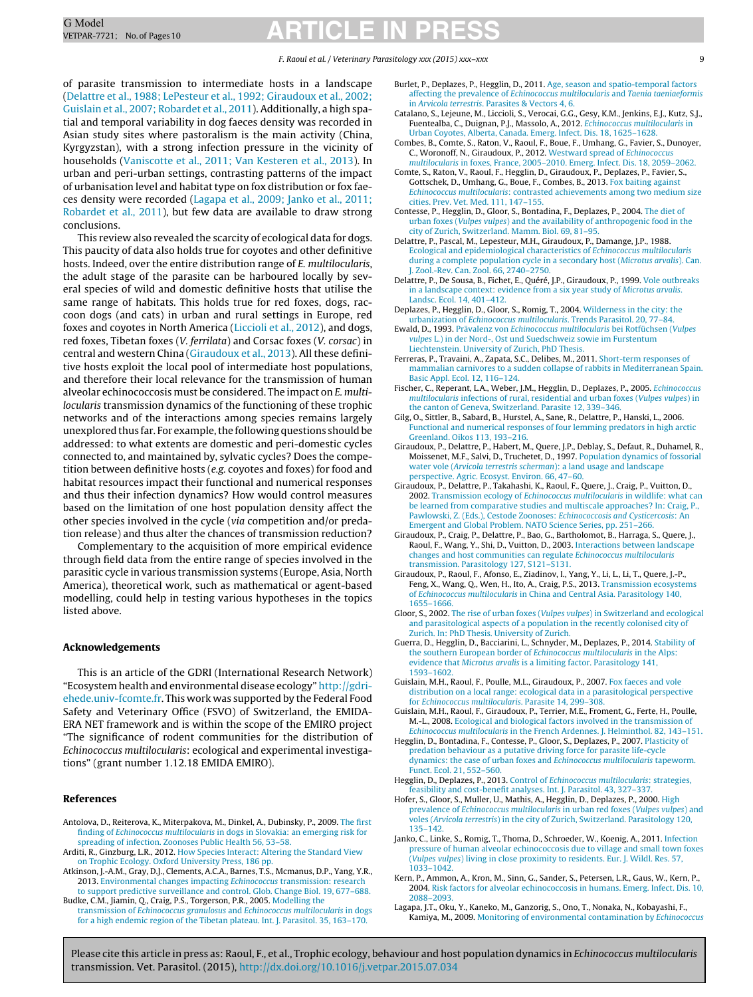<span id="page-8-0"></span>of parasite transmission to intermediate hosts in a landscape (Delattre et al., 1988; LePesteur et al., 1992; Giraudoux et al., 2002; Guislain et al., 2007; Robardet et al., 2011). Additionally, a high spatial and temporal variability in dog faeces density was recorded in Asian study sites where pastoralism is the main activity (China, Kyrgyzstan), with a strong infection pressure in the vicinity of households [\(Vaniscotte](#page-9-0) et [al.,](#page-9-0) [2011;](#page-9-0) [Van](#page-9-0) [Kesteren](#page-9-0) et [al.,](#page-9-0) [2013\).](#page-9-0) In urban and peri-urban settings, contrasting patterns of the impact of urbanisation level and habitat type on fox distribution or fox faeces density were recorded (Lagapa et al., 2009; Janko et al., 2011; Robardet et al., 2011), but few data are available to draw strong conclusions.

This review also revealed the scarcity of ecological data for dogs. This paucity of data also holds true for coyotes and other definitive hosts. Indeed, over the entire distribution range of E. multilocularis, the adult stage of the parasite can be harboured locally by several species of wild and domestic definitive hosts that utilise the same range of habitats. This holds true for red foxes, dogs, raccoon dogs (and cats) in urban and rural settings in Europe, red foxes and coyotes in North America ([Liccioli](#page-9-0) et [al.,](#page-9-0) [2012\),](#page-9-0) and dogs, red foxes, Tibetan foxes (V. ferrilata) and Corsac foxes (V. corsac) in central and western China (Giraudoux et al., 2013). All these definitive hosts exploit the local pool of intermediate host populations, and therefore their local relevance for the transmission of human alveolar echinococcosis must be considered. The impact on E. multilocularis transmission dynamics of the functioning of these trophic networks and of the interactions among species remains largely unexplored thus far. For example, the following questions should be addressed: to what extents are domestic and peri-domestic cycles connected to, and maintained by, sylvatic cycles? Does the competition between definitive hosts (e.g. coyotes and foxes) for food and habitat resources impact their functional and numerical responses and thus their infection dynamics? How would control measures based on the limitation of one host population density affect the other species involved in the cycle (via competition and/or predation release) and thus alter the chances of transmission reduction?

Complementary to the acquisition of more empirical evidence through field data from the entire range of species involved in the parasitic cycle in various transmission systems (Europe, Asia, North America), theoretical work, such as mathematical or agent-based modelling, could help in testing various hypotheses in the topics listed above.

#### **Acknowledgements**

This is an article of the GDRI (International Research Network) "Ecosystem health and environmental disease ecology" [http://gdri](http://gdri-ehede.univ-fcomte.fr)[ehede.univ-fcomte.fr.](http://gdri-ehede.univ-fcomte.fr) This work was supported by the Federal Food Safety and Veterinary Office (FSVO) of Switzerland, the EMIDA-ERA NET framework and is within the scope of the EMIRO project "The significance of rodent communities for the distribution of Echinococcus multilocularis: ecological and experimental investigations" (grant number 1.12.18 EMIDA EMIRO).

#### **References**

- Antolova, D., Reiterova, K., Miterpakova, M., Dinkel, A., Dubinsky, P., 2009. [The](http://refhub.elsevier.com/S0304-4017(15)00374-X/sbref0005) [first](http://refhub.elsevier.com/S0304-4017(15)00374-X/sbref0005) [finding](http://refhub.elsevier.com/S0304-4017(15)00374-X/sbref0005) [of](http://refhub.elsevier.com/S0304-4017(15)00374-X/sbref0005) [Echinococcus](http://refhub.elsevier.com/S0304-4017(15)00374-X/sbref0005) [multilocularis](http://refhub.elsevier.com/S0304-4017(15)00374-X/sbref0005) [in](http://refhub.elsevier.com/S0304-4017(15)00374-X/sbref0005) [dogs](http://refhub.elsevier.com/S0304-4017(15)00374-X/sbref0005) [in](http://refhub.elsevier.com/S0304-4017(15)00374-X/sbref0005) [Slovakia:](http://refhub.elsevier.com/S0304-4017(15)00374-X/sbref0005) [an](http://refhub.elsevier.com/S0304-4017(15)00374-X/sbref0005) [emerging](http://refhub.elsevier.com/S0304-4017(15)00374-X/sbref0005) [risk](http://refhub.elsevier.com/S0304-4017(15)00374-X/sbref0005) [for](http://refhub.elsevier.com/S0304-4017(15)00374-X/sbref0005) [spreading](http://refhub.elsevier.com/S0304-4017(15)00374-X/sbref0005) [of](http://refhub.elsevier.com/S0304-4017(15)00374-X/sbref0005) [infection.](http://refhub.elsevier.com/S0304-4017(15)00374-X/sbref0005) [Zoonoses](http://refhub.elsevier.com/S0304-4017(15)00374-X/sbref0005) [Public](http://refhub.elsevier.com/S0304-4017(15)00374-X/sbref0005) [Health](http://refhub.elsevier.com/S0304-4017(15)00374-X/sbref0005) [56,](http://refhub.elsevier.com/S0304-4017(15)00374-X/sbref0005) [53](http://refhub.elsevier.com/S0304-4017(15)00374-X/sbref0005)–[58.](http://refhub.elsevier.com/S0304-4017(15)00374-X/sbref0005)
- Arditi, R., Ginzburg, L.R., 2012. [How](http://refhub.elsevier.com/S0304-4017(15)00374-X/sbref0010) [Species](http://refhub.elsevier.com/S0304-4017(15)00374-X/sbref0010) [Interact:](http://refhub.elsevier.com/S0304-4017(15)00374-X/sbref0010) [Altering](http://refhub.elsevier.com/S0304-4017(15)00374-X/sbref0010) [the](http://refhub.elsevier.com/S0304-4017(15)00374-X/sbref0010) [Standard](http://refhub.elsevier.com/S0304-4017(15)00374-X/sbref0010) [View](http://refhub.elsevier.com/S0304-4017(15)00374-X/sbref0010) [on](http://refhub.elsevier.com/S0304-4017(15)00374-X/sbref0010) [Trophic](http://refhub.elsevier.com/S0304-4017(15)00374-X/sbref0010) [Ecology.](http://refhub.elsevier.com/S0304-4017(15)00374-X/sbref0010) [Oxford](http://refhub.elsevier.com/S0304-4017(15)00374-X/sbref0010) [University](http://refhub.elsevier.com/S0304-4017(15)00374-X/sbref0010) [Press,](http://refhub.elsevier.com/S0304-4017(15)00374-X/sbref0010) [186](http://refhub.elsevier.com/S0304-4017(15)00374-X/sbref0010) [pp.](http://refhub.elsevier.com/S0304-4017(15)00374-X/sbref0010)
- Atkinson, J.-A.M., Gray, D.J., Clements, A.C.A., Barnes, T.S., Mcmanus, D.P., Yang, Y.R., 2013. [Environmental](http://refhub.elsevier.com/S0304-4017(15)00374-X/sbref0015) [changes](http://refhub.elsevier.com/S0304-4017(15)00374-X/sbref0015) [impacting](http://refhub.elsevier.com/S0304-4017(15)00374-X/sbref0015) [Echinococcus](http://refhub.elsevier.com/S0304-4017(15)00374-X/sbref0015) [transmission:](http://refhub.elsevier.com/S0304-4017(15)00374-X/sbref0015) [research](http://refhub.elsevier.com/S0304-4017(15)00374-X/sbref0015) [to](http://refhub.elsevier.com/S0304-4017(15)00374-X/sbref0015) [support](http://refhub.elsevier.com/S0304-4017(15)00374-X/sbref0015) [predictive](http://refhub.elsevier.com/S0304-4017(15)00374-X/sbref0015) [surveillance](http://refhub.elsevier.com/S0304-4017(15)00374-X/sbref0015) [and](http://refhub.elsevier.com/S0304-4017(15)00374-X/sbref0015) [control.](http://refhub.elsevier.com/S0304-4017(15)00374-X/sbref0015) [Glob.](http://refhub.elsevier.com/S0304-4017(15)00374-X/sbref0015) [Change](http://refhub.elsevier.com/S0304-4017(15)00374-X/sbref0015) [Biol.](http://refhub.elsevier.com/S0304-4017(15)00374-X/sbref0015) [19,](http://refhub.elsevier.com/S0304-4017(15)00374-X/sbref0015) [677–688.](http://refhub.elsevier.com/S0304-4017(15)00374-X/sbref0015)

Budke, C.M., Jiamin, Q., Craig, P.S., Torgerson, P.R., 2005. [Modelling](http://refhub.elsevier.com/S0304-4017(15)00374-X/sbref0020) [the](http://refhub.elsevier.com/S0304-4017(15)00374-X/sbref0020) [transmission](http://refhub.elsevier.com/S0304-4017(15)00374-X/sbref0020) [of](http://refhub.elsevier.com/S0304-4017(15)00374-X/sbref0020) [Echinococcus](http://refhub.elsevier.com/S0304-4017(15)00374-X/sbref0020) [granulosus](http://refhub.elsevier.com/S0304-4017(15)00374-X/sbref0020) [and](http://refhub.elsevier.com/S0304-4017(15)00374-X/sbref0020) [Echinococcus](http://refhub.elsevier.com/S0304-4017(15)00374-X/sbref0020) [multilocularis](http://refhub.elsevier.com/S0304-4017(15)00374-X/sbref0020) [in](http://refhub.elsevier.com/S0304-4017(15)00374-X/sbref0020) [dogs](http://refhub.elsevier.com/S0304-4017(15)00374-X/sbref0020) [for](http://refhub.elsevier.com/S0304-4017(15)00374-X/sbref0020) [a](http://refhub.elsevier.com/S0304-4017(15)00374-X/sbref0020) [high](http://refhub.elsevier.com/S0304-4017(15)00374-X/sbref0020) [endemic](http://refhub.elsevier.com/S0304-4017(15)00374-X/sbref0020) [region](http://refhub.elsevier.com/S0304-4017(15)00374-X/sbref0020) [of](http://refhub.elsevier.com/S0304-4017(15)00374-X/sbref0020) [the](http://refhub.elsevier.com/S0304-4017(15)00374-X/sbref0020) [Tibetan](http://refhub.elsevier.com/S0304-4017(15)00374-X/sbref0020) [plateau.](http://refhub.elsevier.com/S0304-4017(15)00374-X/sbref0020) [Int.](http://refhub.elsevier.com/S0304-4017(15)00374-X/sbref0020) [J.](http://refhub.elsevier.com/S0304-4017(15)00374-X/sbref0020) [Parasitol.](http://refhub.elsevier.com/S0304-4017(15)00374-X/sbref0020) [35,](http://refhub.elsevier.com/S0304-4017(15)00374-X/sbref0020) [163](http://refhub.elsevier.com/S0304-4017(15)00374-X/sbref0020)–[170.](http://refhub.elsevier.com/S0304-4017(15)00374-X/sbref0020)

- Burlet, P., Deplazes, P., Hegglin, D., 2011. [Age,](http://refhub.elsevier.com/S0304-4017(15)00374-X/sbref0025) [season](http://refhub.elsevier.com/S0304-4017(15)00374-X/sbref0025) [and](http://refhub.elsevier.com/S0304-4017(15)00374-X/sbref0025) [spatio-temporal](http://refhub.elsevier.com/S0304-4017(15)00374-X/sbref0025) [factors](http://refhub.elsevier.com/S0304-4017(15)00374-X/sbref0025) [affecting](http://refhub.elsevier.com/S0304-4017(15)00374-X/sbref0025) [the](http://refhub.elsevier.com/S0304-4017(15)00374-X/sbref0025) [prevalence](http://refhub.elsevier.com/S0304-4017(15)00374-X/sbref0025) [of](http://refhub.elsevier.com/S0304-4017(15)00374-X/sbref0025) [Echinococcus](http://refhub.elsevier.com/S0304-4017(15)00374-X/sbref0025) [multilocularis](http://refhub.elsevier.com/S0304-4017(15)00374-X/sbref0025) [and](http://refhub.elsevier.com/S0304-4017(15)00374-X/sbref0025) [Taenia](http://refhub.elsevier.com/S0304-4017(15)00374-X/sbref0025) [taeniaeformis](http://refhub.elsevier.com/S0304-4017(15)00374-X/sbref0025) [in](http://refhub.elsevier.com/S0304-4017(15)00374-X/sbref0025) [Arvicola](http://refhub.elsevier.com/S0304-4017(15)00374-X/sbref0025) [terrestris](http://refhub.elsevier.com/S0304-4017(15)00374-X/sbref0025)[.](http://refhub.elsevier.com/S0304-4017(15)00374-X/sbref0025) [Parasites](http://refhub.elsevier.com/S0304-4017(15)00374-X/sbref0025) [&](http://refhub.elsevier.com/S0304-4017(15)00374-X/sbref0025) [Vectors](http://refhub.elsevier.com/S0304-4017(15)00374-X/sbref0025) [4,](http://refhub.elsevier.com/S0304-4017(15)00374-X/sbref0025) [6.](http://refhub.elsevier.com/S0304-4017(15)00374-X/sbref0025)
- Catalano, S., Lejeune, M., Liccioli, S., Verocai, G.G., Gesy, K.M., Jenkins, E.J., Kutz, S.J., Fuentealba, C., Duignan, P.J., Massolo, A., 2012. [Echinococcus](http://refhub.elsevier.com/S0304-4017(15)00374-X/sbref0030) [multilocularis](http://refhub.elsevier.com/S0304-4017(15)00374-X/sbref0030) [in](http://refhub.elsevier.com/S0304-4017(15)00374-X/sbref0030) [Urban](http://refhub.elsevier.com/S0304-4017(15)00374-X/sbref0030) [Coyotes,](http://refhub.elsevier.com/S0304-4017(15)00374-X/sbref0030) [Alberta,](http://refhub.elsevier.com/S0304-4017(15)00374-X/sbref0030) [Canada.](http://refhub.elsevier.com/S0304-4017(15)00374-X/sbref0030) [Emerg.](http://refhub.elsevier.com/S0304-4017(15)00374-X/sbref0030) [Infect.](http://refhub.elsevier.com/S0304-4017(15)00374-X/sbref0030) [Dis.](http://refhub.elsevier.com/S0304-4017(15)00374-X/sbref0030) [18,](http://refhub.elsevier.com/S0304-4017(15)00374-X/sbref0030) [1625](http://refhub.elsevier.com/S0304-4017(15)00374-X/sbref0030)–[1628.](http://refhub.elsevier.com/S0304-4017(15)00374-X/sbref0030)
- Combes, B., Comte, S., Raton, V., Raoul, F., Boue, F., Umhang, G., Favier, S., Dunoyer, C., Woronoff, N., Giraudoux, P., 2012. [Westward](http://refhub.elsevier.com/S0304-4017(15)00374-X/sbref0035) [spread](http://refhub.elsevier.com/S0304-4017(15)00374-X/sbref0035) [of](http://refhub.elsevier.com/S0304-4017(15)00374-X/sbref0035) [Echinococcus](http://refhub.elsevier.com/S0304-4017(15)00374-X/sbref0035) [multilocularis](http://refhub.elsevier.com/S0304-4017(15)00374-X/sbref0035) [in](http://refhub.elsevier.com/S0304-4017(15)00374-X/sbref0035) [foxes,](http://refhub.elsevier.com/S0304-4017(15)00374-X/sbref0035) [France,](http://refhub.elsevier.com/S0304-4017(15)00374-X/sbref0035) [2005](http://refhub.elsevier.com/S0304-4017(15)00374-X/sbref0035)–[2010.](http://refhub.elsevier.com/S0304-4017(15)00374-X/sbref0035) [Emerg.](http://refhub.elsevier.com/S0304-4017(15)00374-X/sbref0035) [Infect.](http://refhub.elsevier.com/S0304-4017(15)00374-X/sbref0035) [Dis.](http://refhub.elsevier.com/S0304-4017(15)00374-X/sbref0035) [18,](http://refhub.elsevier.com/S0304-4017(15)00374-X/sbref0035) [2059–2062.](http://refhub.elsevier.com/S0304-4017(15)00374-X/sbref0035)
- Comte, S., Raton, V., Raoul, F., Hegglin, D., Giraudoux, P., Deplazes, P., Favier, S., Gottschek, D., Umhang, G., Boue, F., Combes, B., 2013. [Fox](http://refhub.elsevier.com/S0304-4017(15)00374-X/sbref0040) [baiting](http://refhub.elsevier.com/S0304-4017(15)00374-X/sbref0040) [against](http://refhub.elsevier.com/S0304-4017(15)00374-X/sbref0040) [Echinococcus](http://refhub.elsevier.com/S0304-4017(15)00374-X/sbref0040) [multilocularis](http://refhub.elsevier.com/S0304-4017(15)00374-X/sbref0040)[:](http://refhub.elsevier.com/S0304-4017(15)00374-X/sbref0040) [contrasted](http://refhub.elsevier.com/S0304-4017(15)00374-X/sbref0040) [achievements](http://refhub.elsevier.com/S0304-4017(15)00374-X/sbref0040) [among](http://refhub.elsevier.com/S0304-4017(15)00374-X/sbref0040) [two](http://refhub.elsevier.com/S0304-4017(15)00374-X/sbref0040) [medium](http://refhub.elsevier.com/S0304-4017(15)00374-X/sbref0040) [size](http://refhub.elsevier.com/S0304-4017(15)00374-X/sbref0040) [cities.](http://refhub.elsevier.com/S0304-4017(15)00374-X/sbref0040) [Prev.](http://refhub.elsevier.com/S0304-4017(15)00374-X/sbref0040) [Vet.](http://refhub.elsevier.com/S0304-4017(15)00374-X/sbref0040) [Med.](http://refhub.elsevier.com/S0304-4017(15)00374-X/sbref0040) [111,](http://refhub.elsevier.com/S0304-4017(15)00374-X/sbref0040) [147–155.](http://refhub.elsevier.com/S0304-4017(15)00374-X/sbref0040)
- Contesse, P., Hegglin, D., Gloor, S., Bontadina, F., Deplazes, P., 2004. [The](http://refhub.elsevier.com/S0304-4017(15)00374-X/sbref0045) [diet](http://refhub.elsevier.com/S0304-4017(15)00374-X/sbref0045) [of](http://refhub.elsevier.com/S0304-4017(15)00374-X/sbref0045) [urban](http://refhub.elsevier.com/S0304-4017(15)00374-X/sbref0045) [foxes](http://refhub.elsevier.com/S0304-4017(15)00374-X/sbref0045) [\(](http://refhub.elsevier.com/S0304-4017(15)00374-X/sbref0045)[Vulpes](http://refhub.elsevier.com/S0304-4017(15)00374-X/sbref0045) [vulpes](http://refhub.elsevier.com/S0304-4017(15)00374-X/sbref0045)[\)](http://refhub.elsevier.com/S0304-4017(15)00374-X/sbref0045) [and](http://refhub.elsevier.com/S0304-4017(15)00374-X/sbref0045) [the](http://refhub.elsevier.com/S0304-4017(15)00374-X/sbref0045) [availability](http://refhub.elsevier.com/S0304-4017(15)00374-X/sbref0045) [of](http://refhub.elsevier.com/S0304-4017(15)00374-X/sbref0045) [anthropogenic](http://refhub.elsevier.com/S0304-4017(15)00374-X/sbref0045) [food](http://refhub.elsevier.com/S0304-4017(15)00374-X/sbref0045) [in](http://refhub.elsevier.com/S0304-4017(15)00374-X/sbref0045) [the](http://refhub.elsevier.com/S0304-4017(15)00374-X/sbref0045) [city](http://refhub.elsevier.com/S0304-4017(15)00374-X/sbref0045) [of](http://refhub.elsevier.com/S0304-4017(15)00374-X/sbref0045) [Zurich,](http://refhub.elsevier.com/S0304-4017(15)00374-X/sbref0045) [Switzerland.](http://refhub.elsevier.com/S0304-4017(15)00374-X/sbref0045) [Mamm.](http://refhub.elsevier.com/S0304-4017(15)00374-X/sbref0045) [Biol.](http://refhub.elsevier.com/S0304-4017(15)00374-X/sbref0045) [69,](http://refhub.elsevier.com/S0304-4017(15)00374-X/sbref0045) [81–95.](http://refhub.elsevier.com/S0304-4017(15)00374-X/sbref0045)
- Delattre, P., Pascal, M., Lepesteur, M.H., Giraudoux, P., Damange, J.P., 1988. [Ecological](http://refhub.elsevier.com/S0304-4017(15)00374-X/sbref0050) [and](http://refhub.elsevier.com/S0304-4017(15)00374-X/sbref0050) [epidemiological](http://refhub.elsevier.com/S0304-4017(15)00374-X/sbref0050) [characteristics](http://refhub.elsevier.com/S0304-4017(15)00374-X/sbref0050) [of](http://refhub.elsevier.com/S0304-4017(15)00374-X/sbref0050) [Echinococcus](http://refhub.elsevier.com/S0304-4017(15)00374-X/sbref0050) [multilocularis](http://refhub.elsevier.com/S0304-4017(15)00374-X/sbref0050) [during](http://refhub.elsevier.com/S0304-4017(15)00374-X/sbref0050) [a](http://refhub.elsevier.com/S0304-4017(15)00374-X/sbref0050) [complete](http://refhub.elsevier.com/S0304-4017(15)00374-X/sbref0050) [population](http://refhub.elsevier.com/S0304-4017(15)00374-X/sbref0050) [cycle](http://refhub.elsevier.com/S0304-4017(15)00374-X/sbref0050) [in](http://refhub.elsevier.com/S0304-4017(15)00374-X/sbref0050) [a](http://refhub.elsevier.com/S0304-4017(15)00374-X/sbref0050) [secondary](http://refhub.elsevier.com/S0304-4017(15)00374-X/sbref0050) [host](http://refhub.elsevier.com/S0304-4017(15)00374-X/sbref0050) [\(](http://refhub.elsevier.com/S0304-4017(15)00374-X/sbref0050)[Microtus](http://refhub.elsevier.com/S0304-4017(15)00374-X/sbref0050) [arvalis](http://refhub.elsevier.com/S0304-4017(15)00374-X/sbref0050)[\).](http://refhub.elsevier.com/S0304-4017(15)00374-X/sbref0050) [Can.](http://refhub.elsevier.com/S0304-4017(15)00374-X/sbref0050) [J.](http://refhub.elsevier.com/S0304-4017(15)00374-X/sbref0050) [Zool.-Rev.](http://refhub.elsevier.com/S0304-4017(15)00374-X/sbref0050) [Can.](http://refhub.elsevier.com/S0304-4017(15)00374-X/sbref0050) [Zool.](http://refhub.elsevier.com/S0304-4017(15)00374-X/sbref0050) [66,](http://refhub.elsevier.com/S0304-4017(15)00374-X/sbref0050) [2740–2750.](http://refhub.elsevier.com/S0304-4017(15)00374-X/sbref0050)
- Delattre, P., De Sousa, B., Fichet, E., Quéré, J.P., Giraudoux, P., 1999. [Vole](http://refhub.elsevier.com/S0304-4017(15)00374-X/sbref0055) [outbreaks](http://refhub.elsevier.com/S0304-4017(15)00374-X/sbref0055) [in](http://refhub.elsevier.com/S0304-4017(15)00374-X/sbref0055) [a](http://refhub.elsevier.com/S0304-4017(15)00374-X/sbref0055) [landscape](http://refhub.elsevier.com/S0304-4017(15)00374-X/sbref0055) [context:](http://refhub.elsevier.com/S0304-4017(15)00374-X/sbref0055) [evidence](http://refhub.elsevier.com/S0304-4017(15)00374-X/sbref0055) [from](http://refhub.elsevier.com/S0304-4017(15)00374-X/sbref0055) [a](http://refhub.elsevier.com/S0304-4017(15)00374-X/sbref0055) [six](http://refhub.elsevier.com/S0304-4017(15)00374-X/sbref0055) [year](http://refhub.elsevier.com/S0304-4017(15)00374-X/sbref0055) [study](http://refhub.elsevier.com/S0304-4017(15)00374-X/sbref0055) [of](http://refhub.elsevier.com/S0304-4017(15)00374-X/sbref0055) [Microtus](http://refhub.elsevier.com/S0304-4017(15)00374-X/sbref0055) [arvalis](http://refhub.elsevier.com/S0304-4017(15)00374-X/sbref0055)[.](http://refhub.elsevier.com/S0304-4017(15)00374-X/sbref0055) [Landsc.](http://refhub.elsevier.com/S0304-4017(15)00374-X/sbref0055) [Ecol.](http://refhub.elsevier.com/S0304-4017(15)00374-X/sbref0055) [14,](http://refhub.elsevier.com/S0304-4017(15)00374-X/sbref0055) [401–412.](http://refhub.elsevier.com/S0304-4017(15)00374-X/sbref0055)
- Deplazes, P., Hegglin, D., Gloor, S., Romig, T., 2004. [Wilderness](http://refhub.elsevier.com/S0304-4017(15)00374-X/sbref0060) [in](http://refhub.elsevier.com/S0304-4017(15)00374-X/sbref0060) [the](http://refhub.elsevier.com/S0304-4017(15)00374-X/sbref0060) [city:](http://refhub.elsevier.com/S0304-4017(15)00374-X/sbref0060) [the](http://refhub.elsevier.com/S0304-4017(15)00374-X/sbref0060) [urbanization](http://refhub.elsevier.com/S0304-4017(15)00374-X/sbref0060) [of](http://refhub.elsevier.com/S0304-4017(15)00374-X/sbref0060) [Echinococcus](http://refhub.elsevier.com/S0304-4017(15)00374-X/sbref0060) [multilocularis](http://refhub.elsevier.com/S0304-4017(15)00374-X/sbref0060)[.](http://refhub.elsevier.com/S0304-4017(15)00374-X/sbref0060) [Trends](http://refhub.elsevier.com/S0304-4017(15)00374-X/sbref0060) [Parasitol.](http://refhub.elsevier.com/S0304-4017(15)00374-X/sbref0060) [20,](http://refhub.elsevier.com/S0304-4017(15)00374-X/sbref0060) [77–84.](http://refhub.elsevier.com/S0304-4017(15)00374-X/sbref0060)
- Ewald, D., 1993. [Prävalenz](http://refhub.elsevier.com/S0304-4017(15)00374-X/sbref0065) [von](http://refhub.elsevier.com/S0304-4017(15)00374-X/sbref0065) [Echinococcus](http://refhub.elsevier.com/S0304-4017(15)00374-X/sbref0065) [multilocularis](http://refhub.elsevier.com/S0304-4017(15)00374-X/sbref0065) [bei](http://refhub.elsevier.com/S0304-4017(15)00374-X/sbref0065) [Rotfüchsen](http://refhub.elsevier.com/S0304-4017(15)00374-X/sbref0065) [\(](http://refhub.elsevier.com/S0304-4017(15)00374-X/sbref0065)[Vulpes](http://refhub.elsevier.com/S0304-4017(15)00374-X/sbref0065) [vulpes](http://refhub.elsevier.com/S0304-4017(15)00374-X/sbref0065) [L.\)](http://refhub.elsevier.com/S0304-4017(15)00374-X/sbref0065) [in](http://refhub.elsevier.com/S0304-4017(15)00374-X/sbref0065) [der](http://refhub.elsevier.com/S0304-4017(15)00374-X/sbref0065) [Nord-,](http://refhub.elsevier.com/S0304-4017(15)00374-X/sbref0065) [Ost](http://refhub.elsevier.com/S0304-4017(15)00374-X/sbref0065) [und](http://refhub.elsevier.com/S0304-4017(15)00374-X/sbref0065) [Suedschweiz](http://refhub.elsevier.com/S0304-4017(15)00374-X/sbref0065) [sowie](http://refhub.elsevier.com/S0304-4017(15)00374-X/sbref0065) [im](http://refhub.elsevier.com/S0304-4017(15)00374-X/sbref0065) [Furstentum](http://refhub.elsevier.com/S0304-4017(15)00374-X/sbref0065) [Liechtenstein.](http://refhub.elsevier.com/S0304-4017(15)00374-X/sbref0065) [University](http://refhub.elsevier.com/S0304-4017(15)00374-X/sbref0065) [of](http://refhub.elsevier.com/S0304-4017(15)00374-X/sbref0065) [Zurich,](http://refhub.elsevier.com/S0304-4017(15)00374-X/sbref0065) [PhD](http://refhub.elsevier.com/S0304-4017(15)00374-X/sbref0065) [Thesis.](http://refhub.elsevier.com/S0304-4017(15)00374-X/sbref0065)
- Ferreras, P., Travaini, A., Zapata, S.C., Delibes, M., 2011. [Short-term](http://refhub.elsevier.com/S0304-4017(15)00374-X/sbref0070) [responses](http://refhub.elsevier.com/S0304-4017(15)00374-X/sbref0070) [of](http://refhub.elsevier.com/S0304-4017(15)00374-X/sbref0070) [mammalian](http://refhub.elsevier.com/S0304-4017(15)00374-X/sbref0070) [carnivores](http://refhub.elsevier.com/S0304-4017(15)00374-X/sbref0070) [to](http://refhub.elsevier.com/S0304-4017(15)00374-X/sbref0070) [a](http://refhub.elsevier.com/S0304-4017(15)00374-X/sbref0070) [sudden](http://refhub.elsevier.com/S0304-4017(15)00374-X/sbref0070) [collapse](http://refhub.elsevier.com/S0304-4017(15)00374-X/sbref0070) [of](http://refhub.elsevier.com/S0304-4017(15)00374-X/sbref0070) [rabbits](http://refhub.elsevier.com/S0304-4017(15)00374-X/sbref0070) [in](http://refhub.elsevier.com/S0304-4017(15)00374-X/sbref0070) [Mediterranean](http://refhub.elsevier.com/S0304-4017(15)00374-X/sbref0070) [Spain.](http://refhub.elsevier.com/S0304-4017(15)00374-X/sbref0070) [Basic](http://refhub.elsevier.com/S0304-4017(15)00374-X/sbref0070) [Appl.](http://refhub.elsevier.com/S0304-4017(15)00374-X/sbref0070) [Ecol.](http://refhub.elsevier.com/S0304-4017(15)00374-X/sbref0070) [12,](http://refhub.elsevier.com/S0304-4017(15)00374-X/sbref0070) [116](http://refhub.elsevier.com/S0304-4017(15)00374-X/sbref0070)–[124.](http://refhub.elsevier.com/S0304-4017(15)00374-X/sbref0070)
- Fischer, C., Reperant, L.A., Weber, J.M., Hegglin, D., Deplazes, P., 2005. [Echinococcus](http://refhub.elsevier.com/S0304-4017(15)00374-X/sbref0075) [multilocularis](http://refhub.elsevier.com/S0304-4017(15)00374-X/sbref0075) [infections](http://refhub.elsevier.com/S0304-4017(15)00374-X/sbref0075) [of](http://refhub.elsevier.com/S0304-4017(15)00374-X/sbref0075) [rural,](http://refhub.elsevier.com/S0304-4017(15)00374-X/sbref0075) [residential](http://refhub.elsevier.com/S0304-4017(15)00374-X/sbref0075) [and](http://refhub.elsevier.com/S0304-4017(15)00374-X/sbref0075) [urban](http://refhub.elsevier.com/S0304-4017(15)00374-X/sbref0075) [foxes](http://refhub.elsevier.com/S0304-4017(15)00374-X/sbref0075) [\(](http://refhub.elsevier.com/S0304-4017(15)00374-X/sbref0075)[Vulpes](http://refhub.elsevier.com/S0304-4017(15)00374-X/sbref0075) [vulpes](http://refhub.elsevier.com/S0304-4017(15)00374-X/sbref0075)[\)](http://refhub.elsevier.com/S0304-4017(15)00374-X/sbref0075) [in](http://refhub.elsevier.com/S0304-4017(15)00374-X/sbref0075) [the](http://refhub.elsevier.com/S0304-4017(15)00374-X/sbref0075) [canton](http://refhub.elsevier.com/S0304-4017(15)00374-X/sbref0075) [of](http://refhub.elsevier.com/S0304-4017(15)00374-X/sbref0075) [Geneva,](http://refhub.elsevier.com/S0304-4017(15)00374-X/sbref0075) [Switzerland.](http://refhub.elsevier.com/S0304-4017(15)00374-X/sbref0075) [Parasite](http://refhub.elsevier.com/S0304-4017(15)00374-X/sbref0075) [12,](http://refhub.elsevier.com/S0304-4017(15)00374-X/sbref0075) [339–346.](http://refhub.elsevier.com/S0304-4017(15)00374-X/sbref0075)
- Gilg, O., Sittler, B., Sabard, B., Hurstel, A., Sane, R., Delattre, P., Hanski, L., 2006. [Functional](http://refhub.elsevier.com/S0304-4017(15)00374-X/sbref0080) [and](http://refhub.elsevier.com/S0304-4017(15)00374-X/sbref0080) [numerical](http://refhub.elsevier.com/S0304-4017(15)00374-X/sbref0080) [responses](http://refhub.elsevier.com/S0304-4017(15)00374-X/sbref0080) [of](http://refhub.elsevier.com/S0304-4017(15)00374-X/sbref0080) [four](http://refhub.elsevier.com/S0304-4017(15)00374-X/sbref0080) [lemming](http://refhub.elsevier.com/S0304-4017(15)00374-X/sbref0080) [predators](http://refhub.elsevier.com/S0304-4017(15)00374-X/sbref0080) [in](http://refhub.elsevier.com/S0304-4017(15)00374-X/sbref0080) [high](http://refhub.elsevier.com/S0304-4017(15)00374-X/sbref0080) [arctic](http://refhub.elsevier.com/S0304-4017(15)00374-X/sbref0080) [Greenland.](http://refhub.elsevier.com/S0304-4017(15)00374-X/sbref0080) [Oikos](http://refhub.elsevier.com/S0304-4017(15)00374-X/sbref0080) [113,](http://refhub.elsevier.com/S0304-4017(15)00374-X/sbref0080) [193–216.](http://refhub.elsevier.com/S0304-4017(15)00374-X/sbref0080)
- Giraudoux, P., Delattre, P., Habert, M., Quere, J.P., Deblay, S., Defaut, R., Duhamel, R., Moissenet, M.F., Salvi, D., Truchetet, D., 1997. [Population](http://refhub.elsevier.com/S0304-4017(15)00374-X/sbref0085) [dynamics](http://refhub.elsevier.com/S0304-4017(15)00374-X/sbref0085) [of](http://refhub.elsevier.com/S0304-4017(15)00374-X/sbref0085) [fossorial](http://refhub.elsevier.com/S0304-4017(15)00374-X/sbref0085) [water](http://refhub.elsevier.com/S0304-4017(15)00374-X/sbref0085) [vole](http://refhub.elsevier.com/S0304-4017(15)00374-X/sbref0085) [\(](http://refhub.elsevier.com/S0304-4017(15)00374-X/sbref0085)[Arvicola](http://refhub.elsevier.com/S0304-4017(15)00374-X/sbref0085) [terrestris](http://refhub.elsevier.com/S0304-4017(15)00374-X/sbref0085) [scherman](http://refhub.elsevier.com/S0304-4017(15)00374-X/sbref0085)[\):](http://refhub.elsevier.com/S0304-4017(15)00374-X/sbref0085) [a](http://refhub.elsevier.com/S0304-4017(15)00374-X/sbref0085) [land](http://refhub.elsevier.com/S0304-4017(15)00374-X/sbref0085) [usage](http://refhub.elsevier.com/S0304-4017(15)00374-X/sbref0085) [and](http://refhub.elsevier.com/S0304-4017(15)00374-X/sbref0085) [landscape](http://refhub.elsevier.com/S0304-4017(15)00374-X/sbref0085) [perspective.](http://refhub.elsevier.com/S0304-4017(15)00374-X/sbref0085) [Agric.](http://refhub.elsevier.com/S0304-4017(15)00374-X/sbref0085) [Ecosyst.](http://refhub.elsevier.com/S0304-4017(15)00374-X/sbref0085) [Environ.](http://refhub.elsevier.com/S0304-4017(15)00374-X/sbref0085) [66,](http://refhub.elsevier.com/S0304-4017(15)00374-X/sbref0085) [47–60.](http://refhub.elsevier.com/S0304-4017(15)00374-X/sbref0085)
- Giraudoux, P., Delattre, P., Takahashi, K., Raoul, F., Quere, J., Craig, P., Vuitton, D., 2002. [Transmission](http://refhub.elsevier.com/S0304-4017(15)00374-X/sbref0090) [ecology](http://refhub.elsevier.com/S0304-4017(15)00374-X/sbref0090) [of](http://refhub.elsevier.com/S0304-4017(15)00374-X/sbref0090) [Echinococcus](http://refhub.elsevier.com/S0304-4017(15)00374-X/sbref0090) [multilocularis](http://refhub.elsevier.com/S0304-4017(15)00374-X/sbref0090) [in](http://refhub.elsevier.com/S0304-4017(15)00374-X/sbref0090) [wildlife:](http://refhub.elsevier.com/S0304-4017(15)00374-X/sbref0090) [what](http://refhub.elsevier.com/S0304-4017(15)00374-X/sbref0090) [can](http://refhub.elsevier.com/S0304-4017(15)00374-X/sbref0090) [be](http://refhub.elsevier.com/S0304-4017(15)00374-X/sbref0090) [learned](http://refhub.elsevier.com/S0304-4017(15)00374-X/sbref0090) [from](http://refhub.elsevier.com/S0304-4017(15)00374-X/sbref0090) [comparative](http://refhub.elsevier.com/S0304-4017(15)00374-X/sbref0090) [studies](http://refhub.elsevier.com/S0304-4017(15)00374-X/sbref0090) [and](http://refhub.elsevier.com/S0304-4017(15)00374-X/sbref0090) [multiscale](http://refhub.elsevier.com/S0304-4017(15)00374-X/sbref0090) [approaches?](http://refhub.elsevier.com/S0304-4017(15)00374-X/sbref0090) [In:](http://refhub.elsevier.com/S0304-4017(15)00374-X/sbref0090) [Craig,](http://refhub.elsevier.com/S0304-4017(15)00374-X/sbref0090) [P.,](http://refhub.elsevier.com/S0304-4017(15)00374-X/sbref0090) [Pawlowski,](http://refhub.elsevier.com/S0304-4017(15)00374-X/sbref0090) [Z.](http://refhub.elsevier.com/S0304-4017(15)00374-X/sbref0090) [\(Eds.\),](http://refhub.elsevier.com/S0304-4017(15)00374-X/sbref0090) [Cestode](http://refhub.elsevier.com/S0304-4017(15)00374-X/sbref0090) [Zoonoses:](http://refhub.elsevier.com/S0304-4017(15)00374-X/sbref0090) [Echinococcosis](http://refhub.elsevier.com/S0304-4017(15)00374-X/sbref0090) [and](http://refhub.elsevier.com/S0304-4017(15)00374-X/sbref0090) [Cysticercosis](http://refhub.elsevier.com/S0304-4017(15)00374-X/sbref0090): [An](http://refhub.elsevier.com/S0304-4017(15)00374-X/sbref0090) [Emergent](http://refhub.elsevier.com/S0304-4017(15)00374-X/sbref0090) [and](http://refhub.elsevier.com/S0304-4017(15)00374-X/sbref0090) [Global](http://refhub.elsevier.com/S0304-4017(15)00374-X/sbref0090) [Problem.](http://refhub.elsevier.com/S0304-4017(15)00374-X/sbref0090) [NATO](http://refhub.elsevier.com/S0304-4017(15)00374-X/sbref0090) [Science](http://refhub.elsevier.com/S0304-4017(15)00374-X/sbref0090) [Series,](http://refhub.elsevier.com/S0304-4017(15)00374-X/sbref0090) [pp.](http://refhub.elsevier.com/S0304-4017(15)00374-X/sbref0090) [251–266.](http://refhub.elsevier.com/S0304-4017(15)00374-X/sbref0090)
- Giraudoux, P., Craig, P., Delattre, P., Bao, G., Bartholomot, B., Harraga, S., Quere, J., Raoul, F., Wang, Y., Shi, D., Vuitton, D., 2003. [Interactions](http://refhub.elsevier.com/S0304-4017(15)00374-X/sbref0095) [between](http://refhub.elsevier.com/S0304-4017(15)00374-X/sbref0095) [landscape](http://refhub.elsevier.com/S0304-4017(15)00374-X/sbref0095) [changes](http://refhub.elsevier.com/S0304-4017(15)00374-X/sbref0095) [and](http://refhub.elsevier.com/S0304-4017(15)00374-X/sbref0095) [host](http://refhub.elsevier.com/S0304-4017(15)00374-X/sbref0095) [communities](http://refhub.elsevier.com/S0304-4017(15)00374-X/sbref0095) [can](http://refhub.elsevier.com/S0304-4017(15)00374-X/sbref0095) [regulate](http://refhub.elsevier.com/S0304-4017(15)00374-X/sbref0095) [Echinococcus](http://refhub.elsevier.com/S0304-4017(15)00374-X/sbref0095) [multilocularis](http://refhub.elsevier.com/S0304-4017(15)00374-X/sbref0095) [transmission.](http://refhub.elsevier.com/S0304-4017(15)00374-X/sbref0095) [Parasitology](http://refhub.elsevier.com/S0304-4017(15)00374-X/sbref0095) [127,](http://refhub.elsevier.com/S0304-4017(15)00374-X/sbref0095) [S121–S131.](http://refhub.elsevier.com/S0304-4017(15)00374-X/sbref0095)
- Giraudoux, P., Raoul, F., Afonso, E., Ziadinov, I., Yang, Y., Li, L., Li, T., Quere, J.-P., Feng, X., Wang, Q., Wen, H., Ito, A., Craig, P.S., 2013. [Transmission](http://refhub.elsevier.com/S0304-4017(15)00374-X/sbref0100) [ecosystems](http://refhub.elsevier.com/S0304-4017(15)00374-X/sbref0100) [of](http://refhub.elsevier.com/S0304-4017(15)00374-X/sbref0100) [Echinococcus](http://refhub.elsevier.com/S0304-4017(15)00374-X/sbref0100) [multilocularis](http://refhub.elsevier.com/S0304-4017(15)00374-X/sbref0100) [in](http://refhub.elsevier.com/S0304-4017(15)00374-X/sbref0100) [China](http://refhub.elsevier.com/S0304-4017(15)00374-X/sbref0100) [and](http://refhub.elsevier.com/S0304-4017(15)00374-X/sbref0100) [Central](http://refhub.elsevier.com/S0304-4017(15)00374-X/sbref0100) [Asia.](http://refhub.elsevier.com/S0304-4017(15)00374-X/sbref0100) [Parasitology](http://refhub.elsevier.com/S0304-4017(15)00374-X/sbref0100) [140,](http://refhub.elsevier.com/S0304-4017(15)00374-X/sbref0100) [1655–1666.](http://refhub.elsevier.com/S0304-4017(15)00374-X/sbref0100)
- Gloor, S., 2002. [The](http://refhub.elsevier.com/S0304-4017(15)00374-X/sbref0105) [rise](http://refhub.elsevier.com/S0304-4017(15)00374-X/sbref0105) [of](http://refhub.elsevier.com/S0304-4017(15)00374-X/sbref0105) [urban](http://refhub.elsevier.com/S0304-4017(15)00374-X/sbref0105) [foxes](http://refhub.elsevier.com/S0304-4017(15)00374-X/sbref0105) [\(](http://refhub.elsevier.com/S0304-4017(15)00374-X/sbref0105)[Vulpes](http://refhub.elsevier.com/S0304-4017(15)00374-X/sbref0105) [vulpes](http://refhub.elsevier.com/S0304-4017(15)00374-X/sbref0105)[\)](http://refhub.elsevier.com/S0304-4017(15)00374-X/sbref0105) [in](http://refhub.elsevier.com/S0304-4017(15)00374-X/sbref0105) [Switzerland](http://refhub.elsevier.com/S0304-4017(15)00374-X/sbref0105) [and](http://refhub.elsevier.com/S0304-4017(15)00374-X/sbref0105) [ecological](http://refhub.elsevier.com/S0304-4017(15)00374-X/sbref0105) [and](http://refhub.elsevier.com/S0304-4017(15)00374-X/sbref0105) [parasitological](http://refhub.elsevier.com/S0304-4017(15)00374-X/sbref0105) [aspects](http://refhub.elsevier.com/S0304-4017(15)00374-X/sbref0105) [of](http://refhub.elsevier.com/S0304-4017(15)00374-X/sbref0105) [a](http://refhub.elsevier.com/S0304-4017(15)00374-X/sbref0105) [population](http://refhub.elsevier.com/S0304-4017(15)00374-X/sbref0105) [in](http://refhub.elsevier.com/S0304-4017(15)00374-X/sbref0105) [the](http://refhub.elsevier.com/S0304-4017(15)00374-X/sbref0105) [recently](http://refhub.elsevier.com/S0304-4017(15)00374-X/sbref0105) [colonised](http://refhub.elsevier.com/S0304-4017(15)00374-X/sbref0105) [city](http://refhub.elsevier.com/S0304-4017(15)00374-X/sbref0105) [of](http://refhub.elsevier.com/S0304-4017(15)00374-X/sbref0105) [Zurich.](http://refhub.elsevier.com/S0304-4017(15)00374-X/sbref0105) [In:](http://refhub.elsevier.com/S0304-4017(15)00374-X/sbref0105) [PhD](http://refhub.elsevier.com/S0304-4017(15)00374-X/sbref0105) [Thesis.](http://refhub.elsevier.com/S0304-4017(15)00374-X/sbref0105) [University](http://refhub.elsevier.com/S0304-4017(15)00374-X/sbref0105) [of](http://refhub.elsevier.com/S0304-4017(15)00374-X/sbref0105) [Zurich.](http://refhub.elsevier.com/S0304-4017(15)00374-X/sbref0105)
- Guerra, D., Hegglin, D., Bacciarini, L., Schnyder, M., Deplazes, P., 2014. [Stability](http://refhub.elsevier.com/S0304-4017(15)00374-X/sbref0110) [of](http://refhub.elsevier.com/S0304-4017(15)00374-X/sbref0110) [the](http://refhub.elsevier.com/S0304-4017(15)00374-X/sbref0110) [southern](http://refhub.elsevier.com/S0304-4017(15)00374-X/sbref0110) [European](http://refhub.elsevier.com/S0304-4017(15)00374-X/sbref0110) [border](http://refhub.elsevier.com/S0304-4017(15)00374-X/sbref0110) [of](http://refhub.elsevier.com/S0304-4017(15)00374-X/sbref0110) [Echinococcus](http://refhub.elsevier.com/S0304-4017(15)00374-X/sbref0110) [multilocularis](http://refhub.elsevier.com/S0304-4017(15)00374-X/sbref0110) [in](http://refhub.elsevier.com/S0304-4017(15)00374-X/sbref0110) [the](http://refhub.elsevier.com/S0304-4017(15)00374-X/sbref0110) [Alps:](http://refhub.elsevier.com/S0304-4017(15)00374-X/sbref0110) [evidence](http://refhub.elsevier.com/S0304-4017(15)00374-X/sbref0110) [that](http://refhub.elsevier.com/S0304-4017(15)00374-X/sbref0110) [Microtus](http://refhub.elsevier.com/S0304-4017(15)00374-X/sbref0110) [arvalis](http://refhub.elsevier.com/S0304-4017(15)00374-X/sbref0110) [is](http://refhub.elsevier.com/S0304-4017(15)00374-X/sbref0110) [a](http://refhub.elsevier.com/S0304-4017(15)00374-X/sbref0110) [limiting](http://refhub.elsevier.com/S0304-4017(15)00374-X/sbref0110) [factor.](http://refhub.elsevier.com/S0304-4017(15)00374-X/sbref0110) [Parasitology](http://refhub.elsevier.com/S0304-4017(15)00374-X/sbref0110) [141,](http://refhub.elsevier.com/S0304-4017(15)00374-X/sbref0110) [1593](http://refhub.elsevier.com/S0304-4017(15)00374-X/sbref0110)–[1602.](http://refhub.elsevier.com/S0304-4017(15)00374-X/sbref0110)
- Guislain, M.H., Raoul, F., Poulle, M.L., Giraudoux, P., 2007. [Fox](http://refhub.elsevier.com/S0304-4017(15)00374-X/sbref0115) [faeces](http://refhub.elsevier.com/S0304-4017(15)00374-X/sbref0115) [and](http://refhub.elsevier.com/S0304-4017(15)00374-X/sbref0115) [vole](http://refhub.elsevier.com/S0304-4017(15)00374-X/sbref0115) [distribution](http://refhub.elsevier.com/S0304-4017(15)00374-X/sbref0115) [on](http://refhub.elsevier.com/S0304-4017(15)00374-X/sbref0115) [a](http://refhub.elsevier.com/S0304-4017(15)00374-X/sbref0115) [local](http://refhub.elsevier.com/S0304-4017(15)00374-X/sbref0115) [range:](http://refhub.elsevier.com/S0304-4017(15)00374-X/sbref0115) [ecological](http://refhub.elsevier.com/S0304-4017(15)00374-X/sbref0115) [data](http://refhub.elsevier.com/S0304-4017(15)00374-X/sbref0115) [in](http://refhub.elsevier.com/S0304-4017(15)00374-X/sbref0115) [a](http://refhub.elsevier.com/S0304-4017(15)00374-X/sbref0115) [parasitological](http://refhub.elsevier.com/S0304-4017(15)00374-X/sbref0115) [perspective](http://refhub.elsevier.com/S0304-4017(15)00374-X/sbref0115) [for](http://refhub.elsevier.com/S0304-4017(15)00374-X/sbref0115) [Echinococcus](http://refhub.elsevier.com/S0304-4017(15)00374-X/sbref0115) [multilocularis](http://refhub.elsevier.com/S0304-4017(15)00374-X/sbref0115)[.](http://refhub.elsevier.com/S0304-4017(15)00374-X/sbref0115) [Parasite](http://refhub.elsevier.com/S0304-4017(15)00374-X/sbref0115) [14,](http://refhub.elsevier.com/S0304-4017(15)00374-X/sbref0115) [299](http://refhub.elsevier.com/S0304-4017(15)00374-X/sbref0115)–[308.](http://refhub.elsevier.com/S0304-4017(15)00374-X/sbref0115)
- Guislain, M.H., Raoul, F., Giraudoux, P., Terrier, M.E., Froment, G., Ferte, H., Poulle, M.-L., 2008. [Ecological](http://refhub.elsevier.com/S0304-4017(15)00374-X/sbref0120) [and](http://refhub.elsevier.com/S0304-4017(15)00374-X/sbref0120) [biological](http://refhub.elsevier.com/S0304-4017(15)00374-X/sbref0120) [factors](http://refhub.elsevier.com/S0304-4017(15)00374-X/sbref0120) [involved](http://refhub.elsevier.com/S0304-4017(15)00374-X/sbref0120) [in](http://refhub.elsevier.com/S0304-4017(15)00374-X/sbref0120) [the](http://refhub.elsevier.com/S0304-4017(15)00374-X/sbref0120) [transmission](http://refhub.elsevier.com/S0304-4017(15)00374-X/sbref0120) [of](http://refhub.elsevier.com/S0304-4017(15)00374-X/sbref0120) [Echinococcus](http://refhub.elsevier.com/S0304-4017(15)00374-X/sbref0120) [multilocularis](http://refhub.elsevier.com/S0304-4017(15)00374-X/sbref0120) [in](http://refhub.elsevier.com/S0304-4017(15)00374-X/sbref0120) [the](http://refhub.elsevier.com/S0304-4017(15)00374-X/sbref0120) [French](http://refhub.elsevier.com/S0304-4017(15)00374-X/sbref0120) [Ardennes.](http://refhub.elsevier.com/S0304-4017(15)00374-X/sbref0120) [J.](http://refhub.elsevier.com/S0304-4017(15)00374-X/sbref0120) [Helminthol.](http://refhub.elsevier.com/S0304-4017(15)00374-X/sbref0120) [82,](http://refhub.elsevier.com/S0304-4017(15)00374-X/sbref0120) [143](http://refhub.elsevier.com/S0304-4017(15)00374-X/sbref0120)–[151.](http://refhub.elsevier.com/S0304-4017(15)00374-X/sbref0120)
- Hegglin, D., Bontadina, F., Contesse, P., Gloor, S., Deplazes, P., 2007. [Plasticity](http://refhub.elsevier.com/S0304-4017(15)00374-X/sbref0125) [of](http://refhub.elsevier.com/S0304-4017(15)00374-X/sbref0125) [predation](http://refhub.elsevier.com/S0304-4017(15)00374-X/sbref0125) [behaviour](http://refhub.elsevier.com/S0304-4017(15)00374-X/sbref0125) [as](http://refhub.elsevier.com/S0304-4017(15)00374-X/sbref0125) [a](http://refhub.elsevier.com/S0304-4017(15)00374-X/sbref0125) [putative](http://refhub.elsevier.com/S0304-4017(15)00374-X/sbref0125) [driving](http://refhub.elsevier.com/S0304-4017(15)00374-X/sbref0125) [force](http://refhub.elsevier.com/S0304-4017(15)00374-X/sbref0125) [for](http://refhub.elsevier.com/S0304-4017(15)00374-X/sbref0125) [parasite](http://refhub.elsevier.com/S0304-4017(15)00374-X/sbref0125) [life-cycle](http://refhub.elsevier.com/S0304-4017(15)00374-X/sbref0125) [dynamics:](http://refhub.elsevier.com/S0304-4017(15)00374-X/sbref0125) [the](http://refhub.elsevier.com/S0304-4017(15)00374-X/sbref0125) [case](http://refhub.elsevier.com/S0304-4017(15)00374-X/sbref0125) [of](http://refhub.elsevier.com/S0304-4017(15)00374-X/sbref0125) [urban](http://refhub.elsevier.com/S0304-4017(15)00374-X/sbref0125) [foxes](http://refhub.elsevier.com/S0304-4017(15)00374-X/sbref0125) [and](http://refhub.elsevier.com/S0304-4017(15)00374-X/sbref0125) [Echinococcus](http://refhub.elsevier.com/S0304-4017(15)00374-X/sbref0125) [multilocularis](http://refhub.elsevier.com/S0304-4017(15)00374-X/sbref0125) [tapeworm.](http://refhub.elsevier.com/S0304-4017(15)00374-X/sbref0125) [Funct.](http://refhub.elsevier.com/S0304-4017(15)00374-X/sbref0125) [Ecol.](http://refhub.elsevier.com/S0304-4017(15)00374-X/sbref0125) [21,](http://refhub.elsevier.com/S0304-4017(15)00374-X/sbref0125) [552](http://refhub.elsevier.com/S0304-4017(15)00374-X/sbref0125)–[560.](http://refhub.elsevier.com/S0304-4017(15)00374-X/sbref0125)
- Hegglin, D., Deplazes, P., 2013. [Control](http://refhub.elsevier.com/S0304-4017(15)00374-X/sbref0130) [of](http://refhub.elsevier.com/S0304-4017(15)00374-X/sbref0130) [Echinococcus](http://refhub.elsevier.com/S0304-4017(15)00374-X/sbref0130) [multilocularis](http://refhub.elsevier.com/S0304-4017(15)00374-X/sbref0130): [strategies,](http://refhub.elsevier.com/S0304-4017(15)00374-X/sbref0130) [feasibility](http://refhub.elsevier.com/S0304-4017(15)00374-X/sbref0130) [and](http://refhub.elsevier.com/S0304-4017(15)00374-X/sbref0130) [cost-benefit](http://refhub.elsevier.com/S0304-4017(15)00374-X/sbref0130) [analyses.](http://refhub.elsevier.com/S0304-4017(15)00374-X/sbref0130) [Int.](http://refhub.elsevier.com/S0304-4017(15)00374-X/sbref0130) [J.](http://refhub.elsevier.com/S0304-4017(15)00374-X/sbref0130) [Parasitol.](http://refhub.elsevier.com/S0304-4017(15)00374-X/sbref0130) [43,](http://refhub.elsevier.com/S0304-4017(15)00374-X/sbref0130) [327–337.](http://refhub.elsevier.com/S0304-4017(15)00374-X/sbref0130)
- Hofer, S., Gloor, S., Muller, U., Mathis, A., Hegglin, D., Deplazes, P., 2000. [High](http://refhub.elsevier.com/S0304-4017(15)00374-X/sbref0135) [prevalence](http://refhub.elsevier.com/S0304-4017(15)00374-X/sbref0135) [of](http://refhub.elsevier.com/S0304-4017(15)00374-X/sbref0135) [Echinococcus](http://refhub.elsevier.com/S0304-4017(15)00374-X/sbref0135) [multilocularis](http://refhub.elsevier.com/S0304-4017(15)00374-X/sbref0135) [in](http://refhub.elsevier.com/S0304-4017(15)00374-X/sbref0135) [urban](http://refhub.elsevier.com/S0304-4017(15)00374-X/sbref0135) [red](http://refhub.elsevier.com/S0304-4017(15)00374-X/sbref0135) [foxes](http://refhub.elsevier.com/S0304-4017(15)00374-X/sbref0135) [\(](http://refhub.elsevier.com/S0304-4017(15)00374-X/sbref0135)[Vulpes](http://refhub.elsevier.com/S0304-4017(15)00374-X/sbref0135) [vulpes](http://refhub.elsevier.com/S0304-4017(15)00374-X/sbref0135)[\)](http://refhub.elsevier.com/S0304-4017(15)00374-X/sbref0135) [and](http://refhub.elsevier.com/S0304-4017(15)00374-X/sbref0135) [voles](http://refhub.elsevier.com/S0304-4017(15)00374-X/sbref0135) [\(](http://refhub.elsevier.com/S0304-4017(15)00374-X/sbref0135)[Arvicola](http://refhub.elsevier.com/S0304-4017(15)00374-X/sbref0135) [terrestris](http://refhub.elsevier.com/S0304-4017(15)00374-X/sbref0135)[\)](http://refhub.elsevier.com/S0304-4017(15)00374-X/sbref0135) [in](http://refhub.elsevier.com/S0304-4017(15)00374-X/sbref0135) [the](http://refhub.elsevier.com/S0304-4017(15)00374-X/sbref0135) [city](http://refhub.elsevier.com/S0304-4017(15)00374-X/sbref0135) [of](http://refhub.elsevier.com/S0304-4017(15)00374-X/sbref0135) [Zurich,](http://refhub.elsevier.com/S0304-4017(15)00374-X/sbref0135) [Switzerland.](http://refhub.elsevier.com/S0304-4017(15)00374-X/sbref0135) [Parasitology](http://refhub.elsevier.com/S0304-4017(15)00374-X/sbref0135) [120,](http://refhub.elsevier.com/S0304-4017(15)00374-X/sbref0135) [135](http://refhub.elsevier.com/S0304-4017(15)00374-X/sbref0135)–[142.](http://refhub.elsevier.com/S0304-4017(15)00374-X/sbref0135)
- Janko, C., Linke, S., Romig, T., Thoma, D., Schroeder, W., Koenig, A., 2011. [Infection](http://refhub.elsevier.com/S0304-4017(15)00374-X/sbref0140) [pressure](http://refhub.elsevier.com/S0304-4017(15)00374-X/sbref0140) [of](http://refhub.elsevier.com/S0304-4017(15)00374-X/sbref0140) [human](http://refhub.elsevier.com/S0304-4017(15)00374-X/sbref0140) [alveolar](http://refhub.elsevier.com/S0304-4017(15)00374-X/sbref0140) [echinococcosis](http://refhub.elsevier.com/S0304-4017(15)00374-X/sbref0140) [due](http://refhub.elsevier.com/S0304-4017(15)00374-X/sbref0140) [to](http://refhub.elsevier.com/S0304-4017(15)00374-X/sbref0140) [village](http://refhub.elsevier.com/S0304-4017(15)00374-X/sbref0140) [and](http://refhub.elsevier.com/S0304-4017(15)00374-X/sbref0140) [small](http://refhub.elsevier.com/S0304-4017(15)00374-X/sbref0140) [town](http://refhub.elsevier.com/S0304-4017(15)00374-X/sbref0140) [foxes](http://refhub.elsevier.com/S0304-4017(15)00374-X/sbref0140) [\(](http://refhub.elsevier.com/S0304-4017(15)00374-X/sbref0140)[Vulpes](http://refhub.elsevier.com/S0304-4017(15)00374-X/sbref0140) [vulpes](http://refhub.elsevier.com/S0304-4017(15)00374-X/sbref0140)[\)](http://refhub.elsevier.com/S0304-4017(15)00374-X/sbref0140) [living](http://refhub.elsevier.com/S0304-4017(15)00374-X/sbref0140) [in](http://refhub.elsevier.com/S0304-4017(15)00374-X/sbref0140) [close](http://refhub.elsevier.com/S0304-4017(15)00374-X/sbref0140) [proximity](http://refhub.elsevier.com/S0304-4017(15)00374-X/sbref0140) [to](http://refhub.elsevier.com/S0304-4017(15)00374-X/sbref0140) [residents.](http://refhub.elsevier.com/S0304-4017(15)00374-X/sbref0140) [Eur.](http://refhub.elsevier.com/S0304-4017(15)00374-X/sbref0140) [J.](http://refhub.elsevier.com/S0304-4017(15)00374-X/sbref0140) [Wildl.](http://refhub.elsevier.com/S0304-4017(15)00374-X/sbref0140) [Res.](http://refhub.elsevier.com/S0304-4017(15)00374-X/sbref0140) [57,](http://refhub.elsevier.com/S0304-4017(15)00374-X/sbref0140) [1033–1042.](http://refhub.elsevier.com/S0304-4017(15)00374-X/sbref0140)
- Kern, P., Ammon, A., Kron, M., Sinn, G., Sander, S., Petersen, L.R., Gaus, W., Kern, P., 2004. [Risk](http://refhub.elsevier.com/S0304-4017(15)00374-X/sbref0145) [factors](http://refhub.elsevier.com/S0304-4017(15)00374-X/sbref0145) [for](http://refhub.elsevier.com/S0304-4017(15)00374-X/sbref0145) [alveolar](http://refhub.elsevier.com/S0304-4017(15)00374-X/sbref0145) [echinococcosis](http://refhub.elsevier.com/S0304-4017(15)00374-X/sbref0145) [in](http://refhub.elsevier.com/S0304-4017(15)00374-X/sbref0145) [humans.](http://refhub.elsevier.com/S0304-4017(15)00374-X/sbref0145) [Emerg.](http://refhub.elsevier.com/S0304-4017(15)00374-X/sbref0145) [Infect.](http://refhub.elsevier.com/S0304-4017(15)00374-X/sbref0145) [Dis.](http://refhub.elsevier.com/S0304-4017(15)00374-X/sbref0145) [10,](http://refhub.elsevier.com/S0304-4017(15)00374-X/sbref0145) [2088–2093.](http://refhub.elsevier.com/S0304-4017(15)00374-X/sbref0145)
- Lagapa, J.T., Oku, Y., Kaneko, M., Ganzorig, S., Ono, T., Nonaka, N., Kobayashi, F., Kamiya, M., 2009. [Monitoring](http://refhub.elsevier.com/S0304-4017(15)00374-X/sbref0150) [of](http://refhub.elsevier.com/S0304-4017(15)00374-X/sbref0150) [environmental](http://refhub.elsevier.com/S0304-4017(15)00374-X/sbref0150) [contamination](http://refhub.elsevier.com/S0304-4017(15)00374-X/sbref0150) [by](http://refhub.elsevier.com/S0304-4017(15)00374-X/sbref0150) [Echinococcus](http://refhub.elsevier.com/S0304-4017(15)00374-X/sbref0150)